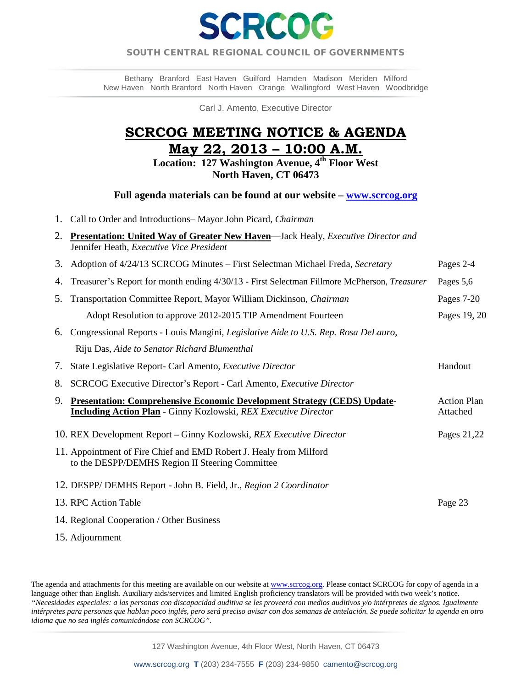

### SOUTH CENTRAL REGIONAL COUNCIL OF GOVERNMENTS  $\overline{a}$

Bethany Branford East Haven Guilford Hamden Madison Meriden Milford New Haven North Branford North Haven Orange Wallingford West Haven Woodbridge

Carl J. Amento, Executive Director

# **SCRCOG MEETING NOTICE & AGENDA May 22, 2013 – 10:00 A.M.**

**Location: 127 Washington Avenue, 4th Floor West North Haven, CT 06473** 

**Full agenda materials can be found at our website – [www.scrcog.org](http://www.scrcog.org/)** 

1. Call to Order and Introductions– Mayor John Picard*, Chairman*

| 2. Presentation: United Way of Greater New Haven—Jack Healy, Executive Director and |
|-------------------------------------------------------------------------------------|
| Jennifer Heath, <i>Executive Vice President</i>                                     |

- 3. Adoption of 4/24/13 SCRCOG Minutes First Selectman Michael Freda*, Secretary* Pages 2-4
- 4. Treasurer's Report for month ending 4/30/13 First Selectman Fillmore McPherson, *Treasurer* Pages 5,6
- 5. Transportation Committee Report*,* Mayor William Dickinson, *Chairman* Pages 7-20 Adopt Resolution to approve 2012-2015 TIP Amendment Fourteen Pages 19, 20
- 6. Congressional Reports Louis Mangini*, Legislative Aide to U.S. Rep. Rosa DeLauro,* Riju Das*, Aide to Senator Richard Blumenthal*

7. State Legislative Report- Carl Amento*, Executive Director* Handout 8. SCRCOG Executive Director's Report - Carl Amento, *Executive Director*

- 9. **Presentation: Comprehensive Economic Development Strategy (CEDS) Update** Action Plan **Including Action Plan** - Ginny Kozlowski*, REX Executive Director* Attached
- 10. REX Development Report Ginny Kozlowski, *REX Executive Director* Pages 21,22
- 11. Appointment of Fire Chief and EMD Robert J. Healy from Milford to the DESPP/DEMHS Region II Steering Committee
- 12. DESPP/ DEMHS Report John B. Field, Jr.*, Region 2 Coordinator*

| 13. RPC Action Table                      | Page 23 |
|-------------------------------------------|---------|
| 14. Regional Cooperation / Other Business |         |

15. Adjournment

The agenda and attachments for this meeting are available on our website a[t www.scrcog.org.](http://www.scrcog.org/) Please contact SCRCOG for copy of agenda in a language other than English. Auxiliary aids/services and limited English proficiency translators will be provided with two week's notice. *"Necesidades especiales: a las personas con discapacidad auditiva se les proveerá con medios auditivos y/o intérpretes de signos. Igualmente intérpretes para personas que hablan poco inglés, pero será preciso avisar con dos semanas de antelación. Se puede solicitar la agenda en otro idioma que no sea inglés comunicándose con SCRCOG".*

127 Washington Avenue, 4th Floor West, North Haven, CT 06473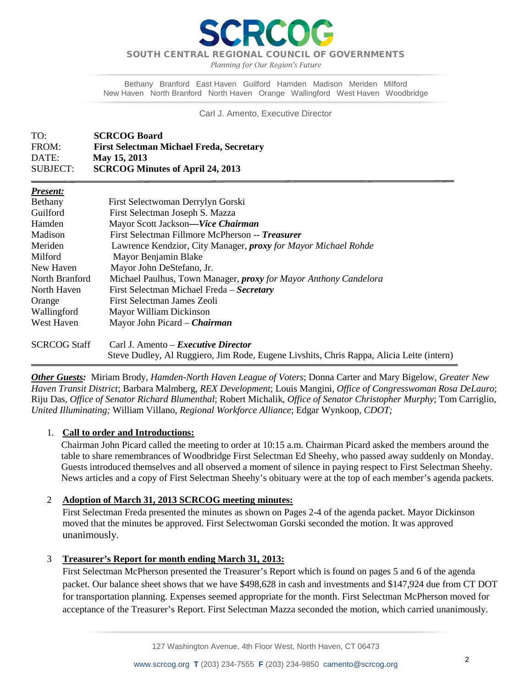SOUTH CENTRAL REGIONAL COUNCIL OF GOVERNMENTS

*Planning for Our Region's Future*

Bethany Branford East Haven Guilford Hamden Madison Meriden Milford New Haven North Branford North Haven Orange Wallingford West Haven Woodbridge

Carl J. Amento, Executive Director

| TO:      | <b>SCRCOG Board</b>                             |
|----------|-------------------------------------------------|
| FROM:    | <b>First Selectman Michael Freda, Secretary</b> |
| DATE:    | May 15, 2013                                    |
| SUBJECT: | <b>SCRCOG Minutes of April 24, 2013</b>         |

| Present: |  |  |
|----------|--|--|
|          |  |  |

İ

| Bethany             | First Selectwoman Derrylyn Gorski                                                        |
|---------------------|------------------------------------------------------------------------------------------|
| Guilford            | First Selectman Joseph S. Mazza                                                          |
| Hamden              | Mayor Scott Jackson-Vice Chairman                                                        |
| Madison             | First Selectman Fillmore McPherson -- Treasurer                                          |
| Meriden             | Lawrence Kendzior, City Manager, <i>proxy</i> for Mayor Michael Rohde                    |
| Milford             | Mayor Benjamin Blake                                                                     |
| New Haven           | Mayor John DeStefano, Jr.                                                                |
| North Branford      | Michael Paulhus, Town Manager, <i>proxy</i> for Mayor Anthony Candelora                  |
| North Haven         | First Selectman Michael Freda – Secretary                                                |
| Orange              | First Selectman James Zeoli                                                              |
| Wallingford         | Mayor William Dickinson                                                                  |
| West Haven          | Mayor John Picard - Chairman                                                             |
| <b>SCRCOG Staff</b> | Carl J. Amento – <i>Executive Director</i>                                               |
|                     | Steve Dudley, Al Ruggiero, Jim Rode, Eugene Livshits, Chris Rappa, Alicia Leite (intern) |

*Other Guests:* Miriam Brody, *Hamden-North Haven League of Voters*; Donna Carter and Mary Bigelow, *Greater New Haven Transit District*; Barbara Malmberg, *REX Development*; Louis Mangini, *Office of Congresswoman Rosa DeLauro*; Riju Das, *Office of Senator Richard Blumenthal*; Robert Michalik, *Office of Senator Christopher Murphy*; Tom Carriglio, *United Illuminating;* William Villano, *Regional Workforce Alliance*; Edgar Wynkoop, *CDOT;*

### 1. **Call to order and Introductions:**

Chairman John Picard called the meeting to order at 10:15 a.m. Chairman Picard asked the members around the table to share remembrances of Woodbridge First Selectman Ed Sheehy, who passed away suddenly on Monday. Guests introduced themselves and all observed a moment of silence in paying respect to First Selectman Sheehy. News articles and a copy of First Selectman Sheehy's obituary were at the top of each member's agenda packets.

### 2 **Adoption of March 31, 2013 SCRCOG meeting minutes:**

First Selectman Freda presented the minutes as shown on Pages 2-4 of the agenda packet. Mayor Dickinson moved that the minutes be approved. First Selectwoman Gorski seconded the motion. It was approved unanimously.

### 3 **Treasurer's Report for month ending March 31, 2013:**

First Selectman McPherson presented the Treasurer's Report which is found on pages 5 and 6 of the agenda packet. Our balance sheet shows that we have \$498,628 in cash and investments and \$147,924 due from CT DOT for transportation planning. Expenses seemed appropriate for the month. First Selectman McPherson moved for acceptance of the Treasurer's Report. First Selectman Mazza seconded the motion, which carried unanimously.

127 Washington Avenue, 4th Floor West, North Haven, CT 06473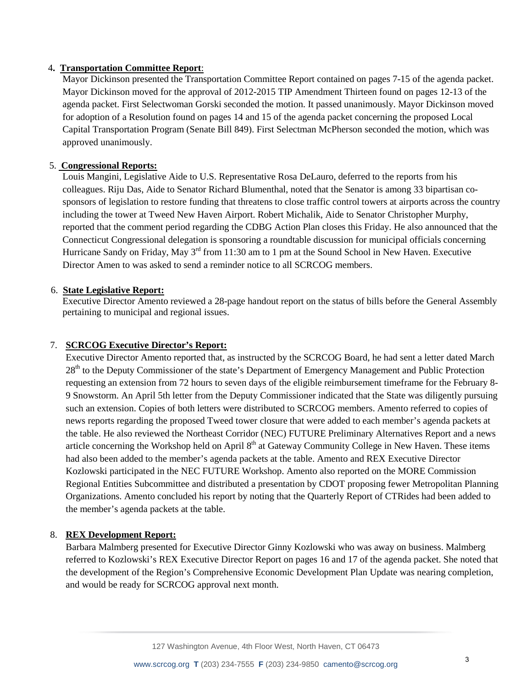### 4**. Transportation Committee Report**:

Mayor Dickinson presented the Transportation Committee Report contained on pages 7-15 of the agenda packet. Mayor Dickinson moved for the approval of 2012-2015 TIP Amendment Thirteen found on pages 12-13 of the agenda packet. First Selectwoman Gorski seconded the motion. It passed unanimously. Mayor Dickinson moved for adoption of a Resolution found on pages 14 and 15 of the agenda packet concerning the proposed Local Capital Transportation Program (Senate Bill 849). First Selectman McPherson seconded the motion, which was approved unanimously.

### 5. **Congressional Reports:**

Louis Mangini, Legislative Aide to U.S. Representative Rosa DeLauro, deferred to the reports from his colleagues. Riju Das, Aide to Senator Richard Blumenthal, noted that the Senator is among 33 bipartisan cosponsors of legislation to restore funding that threatens to close traffic control towers at airports across the country including the tower at Tweed New Haven Airport. Robert Michalik, Aide to Senator Christopher Murphy, reported that the comment period regarding the CDBG Action Plan closes this Friday. He also announced that the Connecticut Congressional delegation is sponsoring a roundtable discussion for municipal officials concerning Hurricane Sandy on Friday, May 3<sup>rd</sup> from 11:30 am to 1 pm at the Sound School in New Haven. Executive Director Amen to was asked to send a reminder notice to all SCRCOG members.

### 6. **State Legislative Report:**

 Executive Director Amento reviewed a 28-page handout report on the status of bills before the General Assembly pertaining to municipal and regional issues.

### 7. **SCRCOG Executive Director's Report:**

Executive Director Amento reported that, as instructed by the SCRCOG Board, he had sent a letter dated March 28<sup>th</sup> to the Deputy Commissioner of the state's Department of Emergency Management and Public Protection requesting an extension from 72 hours to seven days of the eligible reimbursement timeframe for the February 8- 9 Snowstorm. An April 5th letter from the Deputy Commissioner indicated that the State was diligently pursuing such an extension. Copies of both letters were distributed to SCRCOG members. Amento referred to copies of news reports regarding the proposed Tweed tower closure that were added to each member's agenda packets at the table. He also reviewed the Northeast Corridor (NEC) FUTURE Preliminary Alternatives Report and a news article concerning the Workshop held on April 8<sup>th</sup> at Gateway Community College in New Haven. These items had also been added to the member's agenda packets at the table. Amento and REX Executive Director Kozlowski participated in the NEC FUTURE Workshop. Amento also reported on the MORE Commission Regional Entities Subcommittee and distributed a presentation by CDOT proposing fewer Metropolitan Planning Organizations. Amento concluded his report by noting that the Quarterly Report of CTRides had been added to the member's agenda packets at the table.

### 8. **REX Development Report:**

Barbara Malmberg presented for Executive Director Ginny Kozlowski who was away on business. Malmberg referred to Kozlowski's REX Executive Director Report on pages 16 and 17 of the agenda packet. She noted that the development of the Region's Comprehensive Economic Development Plan Update was nearing completion, and would be ready for SCRCOG approval next month.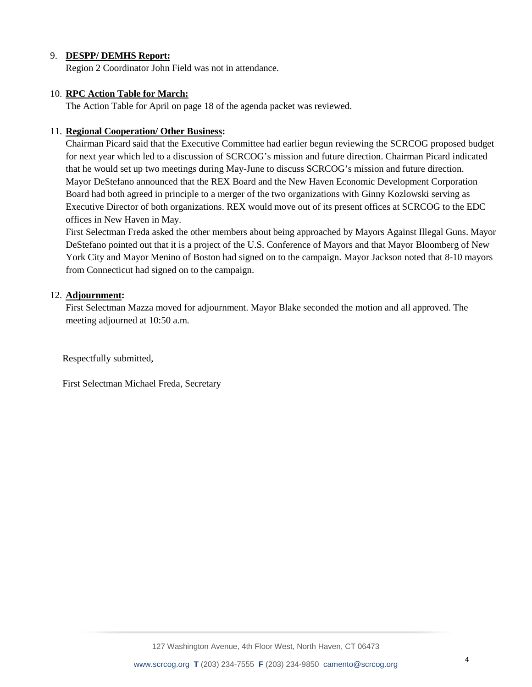### 9. **DESPP/ DEMHS Report:**

Region 2 Coordinator John Field was not in attendance.

### 10. **RPC Action Table for March:**

The Action Table for April on page 18 of the agenda packet was reviewed.

### 11. **Regional Cooperation/ Other Business:**

Chairman Picard said that the Executive Committee had earlier begun reviewing the SCRCOG proposed budget for next year which led to a discussion of SCRCOG's mission and future direction. Chairman Picard indicated that he would set up two meetings during May-June to discuss SCRCOG's mission and future direction. Mayor DeStefano announced that the REX Board and the New Haven Economic Development Corporation Board had both agreed in principle to a merger of the two organizations with Ginny Kozlowski serving as Executive Director of both organizations. REX would move out of its present offices at SCRCOG to the EDC offices in New Haven in May.

First Selectman Freda asked the other members about being approached by Mayors Against Illegal Guns. Mayor DeStefano pointed out that it is a project of the U.S. Conference of Mayors and that Mayor Bloomberg of New York City and Mayor Menino of Boston had signed on to the campaign. Mayor Jackson noted that 8-10 mayors from Connecticut had signed on to the campaign.

### 12. **Adjournment:**

First Selectman Mazza moved for adjournment. Mayor Blake seconded the motion and all approved. The meeting adjourned at 10:50 a.m.

Respectfully submitted,

First Selectman Michael Freda, Secretary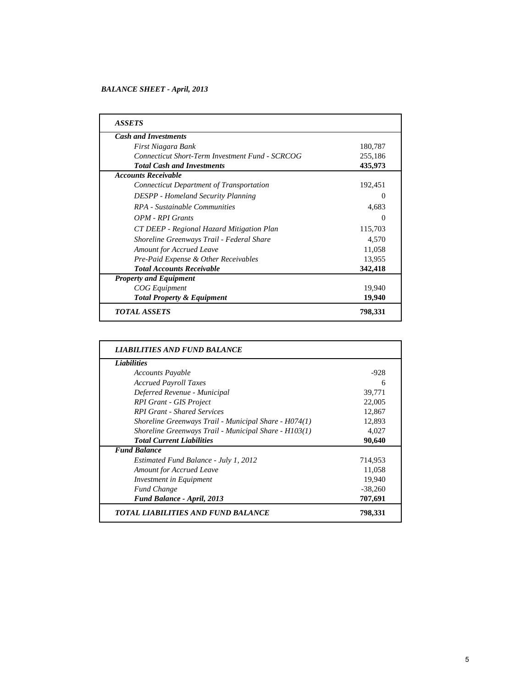### *BALANCE SHEET - April, 2013*

| <b>ASSETS</b>                                   |          |
|-------------------------------------------------|----------|
| <b>Cash and Investments</b>                     |          |
| First Niagara Bank                              | 180,787  |
| Connecticut Short-Term Investment Fund - SCRCOG | 255,186  |
| <b>Total Cash and Investments</b>               | 435,973  |
| <b>Accounts Receivable</b>                      |          |
| Connecticut Department of Transportation        | 192,451  |
| <b>DESPP</b> - Homeland Security Planning       | $\Omega$ |
| RPA - Sustainable Communities                   | 4,683    |
| OPM - RPI Grants                                | $\Omega$ |
| CT DEEP - Regional Hazard Mitigation Plan       | 115,703  |
| Shoreline Greenways Trail - Federal Share       | 4,570    |
| <b>Amount for Accrued Leave</b>                 | 11,058   |
| Pre-Paid Expense & Other Receivables            | 13,955   |
| <b>Total Accounts Receivable</b>                | 342,418  |
| <b>Property and Equipment</b>                   |          |
| <b>COG</b> Equipment                            | 19,940   |
| <b>Total Property &amp; Equipment</b>           | 19,940   |
| <i><b>TOTAL ASSETS</b></i>                      | 798,331  |

| <b>Liabilities</b>                                    |           |
|-------------------------------------------------------|-----------|
| <b>Accounts Payable</b>                               | $-928$    |
| <b>Accrued Payroll Taxes</b>                          | 6         |
| Deferred Revenue - Municipal                          | 39,771    |
| <b>RPI Grant - GIS Project</b>                        | 22,005    |
| <b>RPI Grant - Shared Services</b>                    | 12,867    |
| Shoreline Greenways Trail - Municipal Share - H074(1) | 12,893    |
| Shoreline Greenways Trail - Municipal Share - H103(1) | 4,027     |
| <b>Total Current Liabilities</b>                      | 90,640    |
| <b>Fund Balance</b>                                   |           |
| Estimated Fund Balance - July 1, 2012                 | 714,953   |
| <b>Amount for Accrued Leave</b>                       | 11,058    |
| Investment in Equipment                               | 19,940    |
| <b>Fund Change</b>                                    | $-38,260$ |
| Fund Balance - April, 2013                            | 707,691   |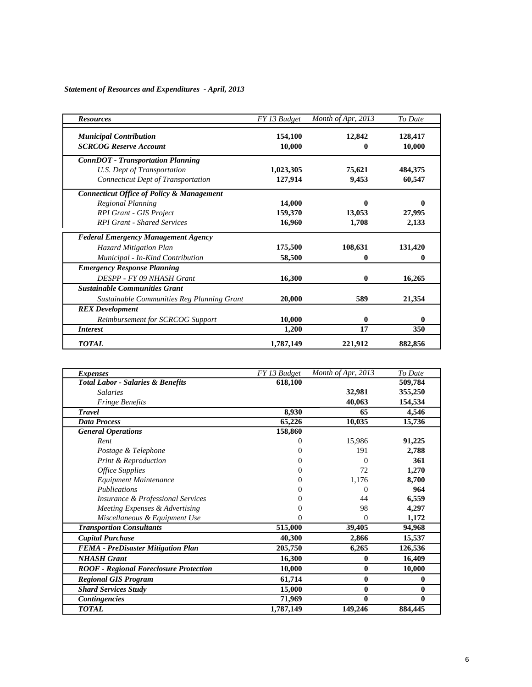# *Statement of Resources and Expenditures - April, 2013*

| <b>Resources</b>                                     | FY 13 Budget | Month of Apr, 2013 | To Date |
|------------------------------------------------------|--------------|--------------------|---------|
| <b>Municipal Contribution</b>                        | 154,100      | 12,842             | 128,417 |
| <b>SCRCOG Reserve Account</b>                        | 10,000       | 0                  | 10,000  |
| <b>ConnDOT</b> - Transportation Planning             |              |                    |         |
| U.S. Dept of Transportation                          | 1,023,305    | 75,621             | 484,375 |
| <b>Connecticut Dept of Transportation</b>            | 127,914      | 9,453              | 60,547  |
| <b>Connecticut Office of Policy &amp; Management</b> |              |                    |         |
| Regional Planning                                    | 14,000       | 0                  | 0       |
| <b>RPI Grant - GIS Project</b>                       | 159,370      | 13,053             | 27,995  |
| <b>RPI Grant - Shared Services</b>                   | 16,960       | 1,708              | 2,133   |
| <b>Federal Emergency Management Agency</b>           |              |                    |         |
| <b>Hazard Mitigation Plan</b>                        | 175,500      | 108,631            | 131,420 |
| Municipal - In-Kind Contribution                     | 58,500       | 0                  | 0       |
| <b>Emergency Response Planning</b>                   |              |                    |         |
| DESPP - FY 09 NHASH Grant                            | 16,300       | 0                  | 16,265  |
| <b>Sustainable Communities Grant</b>                 |              |                    |         |
| Sustainable Communities Reg Planning Grant           | 20,000       | 589                | 21,354  |
| <b>REX</b> Development                               |              |                    |         |
| Reimbursement for SCRCOG Support                     | 10,000       | 0                  | 0       |
| <i>Interest</i>                                      | 1,200        | 17                 | 350     |
| <b>TOTAL</b>                                         | 1,787,149    | 221,912            | 882,856 |

| <i>Expenses</i>                               | FY 13 Budget | Month of Apr, 2013 | To Date  |
|-----------------------------------------------|--------------|--------------------|----------|
| <b>Total Labor - Salaries &amp; Benefits</b>  | 618,100      |                    | 509,784  |
| <b>Salaries</b>                               |              | 32,981             | 355,250  |
| <b>Fringe Benefits</b>                        |              | 40,063             | 154,534  |
| <b>Travel</b>                                 | 8,930        | 65                 | 4,546    |
| <b>Data Process</b>                           | 65,226       | 10,035             | 15,736   |
| <b>General Operations</b>                     | 158,860      |                    |          |
| Rent                                          | 0            | 15,986             | 91,225   |
| Postage & Telephone                           | $_{0}$       | 191                | 2,788    |
| <b>Print &amp; Reproduction</b>               | 0            | 0                  | 361      |
| <b>Office Supplies</b>                        | $_{0}$       | 72                 | 1,270    |
| Equipment Maintenance                         | $\theta$     | 1,176              | 8,700    |
| <i>Publications</i>                           | $_{0}$       | $\mathbf{\Omega}$  | 964      |
| <b>Insurance &amp; Professional Services</b>  |              | 44                 | 6,559    |
| Meeting Expenses & Advertising                |              | 98                 | 4,297    |
| Miscellaneous & Equipment Use                 | $_{0}$       | $\overline{0}$     | 1,172    |
| <b>Transportion Consultants</b>               | 515,000      | 39,405             | 94,968   |
| <b>Capital Purchase</b>                       | 40,300       | 2,866              | 15,537   |
| <b>FEMA</b> - PreDisaster Mitigation Plan     | 205,750      | 6,265              | 126,536  |
| <b>NHASH Grant</b>                            | 16,300       | 0                  | 16,409   |
| <b>ROOF</b> - Regional Foreclosure Protection | 10,000       | $\bf{0}$           | 10,000   |
| <b>Regional GIS Program</b>                   | 61,714       | $\bf{0}$           | $\bf{0}$ |
| <b>Shard Services Study</b>                   | 15,000       | $\bf{0}$           | 0        |
| <b>Contingencies</b>                          | 71,969       | 0                  | 0        |
| <b>TOTAL</b>                                  | 1,787,149    | 149,246            | 884,445  |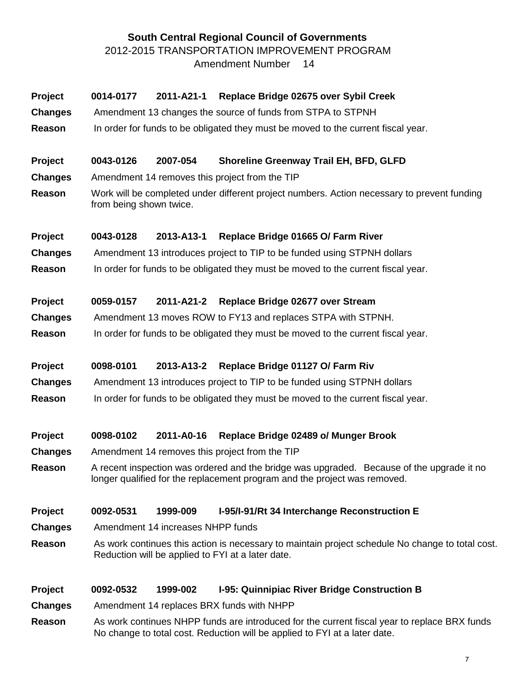# **South Central Regional Council of Governments** 2012-2015 TRANSPORTATION IMPROVEMENT PROGRAM Amendment Number 14

| Project<br><b>Changes</b><br>Reason<br>Project | 0014-0177<br>0043-0126  | 2011-A21-1<br>2007-054            | Replace Bridge 02675 over Sybil Creek<br>Amendment 13 changes the source of funds from STPA to STPNH<br>In order for funds to be obligated they must be moved to the current fiscal year.<br>Shoreline Greenway Trail EH, BFD, GLFD |
|------------------------------------------------|-------------------------|-----------------------------------|-------------------------------------------------------------------------------------------------------------------------------------------------------------------------------------------------------------------------------------|
| <b>Changes</b>                                 |                         |                                   | Amendment 14 removes this project from the TIP                                                                                                                                                                                      |
| Reason                                         | from being shown twice. |                                   | Work will be completed under different project numbers. Action necessary to prevent funding                                                                                                                                         |
| <b>Project</b>                                 | 0043-0128               | 2013-A13-1                        | Replace Bridge 01665 O/ Farm River                                                                                                                                                                                                  |
| <b>Changes</b>                                 |                         |                                   | Amendment 13 introduces project to TIP to be funded using STPNH dollars                                                                                                                                                             |
| Reason                                         |                         |                                   | In order for funds to be obligated they must be moved to the current fiscal year.                                                                                                                                                   |
| Project                                        | 0059-0157               | 2011-A21-2                        | Replace Bridge 02677 over Stream                                                                                                                                                                                                    |
| <b>Changes</b>                                 |                         |                                   | Amendment 13 moves ROW to FY13 and replaces STPA with STPNH.                                                                                                                                                                        |
| Reason                                         |                         |                                   | In order for funds to be obligated they must be moved to the current fiscal year.                                                                                                                                                   |
| Project                                        | 0098-0101               | 2013-A13-2                        | Replace Bridge 01127 O/ Farm Riv                                                                                                                                                                                                    |
| <b>Changes</b>                                 |                         |                                   | Amendment 13 introduces project to TIP to be funded using STPNH dollars                                                                                                                                                             |
| Reason                                         |                         |                                   | In order for funds to be obligated they must be moved to the current fiscal year.                                                                                                                                                   |
| Project                                        | 0098-0102               | 2011-A0-16                        | Replace Bridge 02489 o/ Munger Brook                                                                                                                                                                                                |
| <b>Changes</b>                                 |                         |                                   | Amendment 14 removes this project from the TIP                                                                                                                                                                                      |
| Reason                                         |                         |                                   | A recent inspection was ordered and the bridge was upgraded. Because of the upgrade it no<br>longer qualified for the replacement program and the project was removed.                                                              |
| Project                                        | 0092-0531               | 1999-009                          | I-95/I-91/Rt 34 Interchange Reconstruction E                                                                                                                                                                                        |
| <b>Changes</b>                                 |                         | Amendment 14 increases NHPP funds |                                                                                                                                                                                                                                     |
| Reason                                         |                         |                                   | As work continues this action is necessary to maintain project schedule No change to total cost.<br>Reduction will be applied to FYI at a later date.                                                                               |
| Project                                        | 0092-0532               | 1999-002                          | I-95: Quinnipiac River Bridge Construction B                                                                                                                                                                                        |
| <b>Changes</b>                                 |                         |                                   | Amendment 14 replaces BRX funds with NHPP                                                                                                                                                                                           |

**Reason** As work continues NHPP funds are introduced for the current fiscal year to replace BRX funds No change to total cost. Reduction will be applied to FYI at a later date.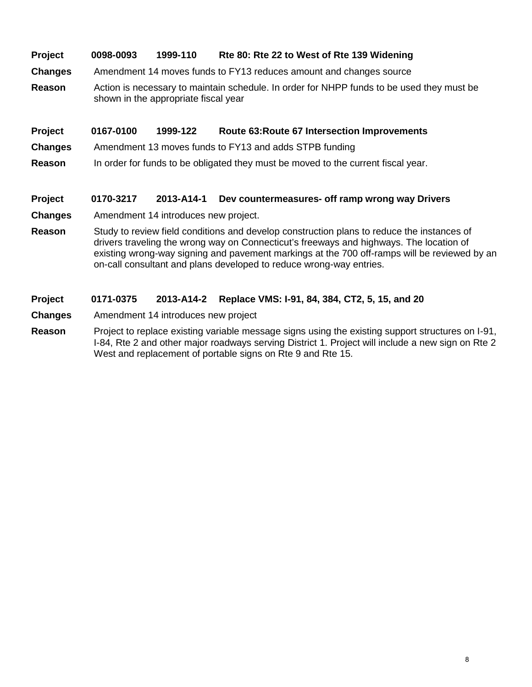# **Project 0098-0093 1999-110 Rte 80: Rte 22 to West of Rte 139 Widening**

- **Changes** Amendment 14 moves funds to FY13 reduces amount and changes source
- **Reason** Action is necessary to maintain schedule. In order for NHPP funds to be used they must be shown in the appropriate fiscal year

### **Project 0167-0100 1999-122 Route 63:Route 67 Intersection Improvements**

- **Changes** Amendment 13 moves funds to FY13 and adds STPB funding
- **Reason** In order for funds to be obligated they must be moved to the current fiscal year.

### **Project 0170-3217 2013-A14-1 Dev countermeasures- off ramp wrong way Drivers**

- **Changes** Amendment 14 introduces new project.
- **Reason** Study to review field conditions and develop construction plans to reduce the instances of drivers traveling the wrong way on Connecticut's freeways and highways. The location of existing wrong-way signing and pavement markings at the 700 off-ramps will be reviewed by an on-call consultant and plans developed to reduce wrong-way entries.

### **Project 0171-0375 2013-A14-2 Replace VMS: I-91, 84, 384, CT2, 5, 15, and 20**

- **Changes** Amendment 14 introduces new project
- **Reason** Project to replace existing variable message signs using the existing support structures on I-91, I-84, Rte 2 and other major roadways serving District 1. Project will include a new sign on Rte 2 West and replacement of portable signs on Rte 9 and Rte 15.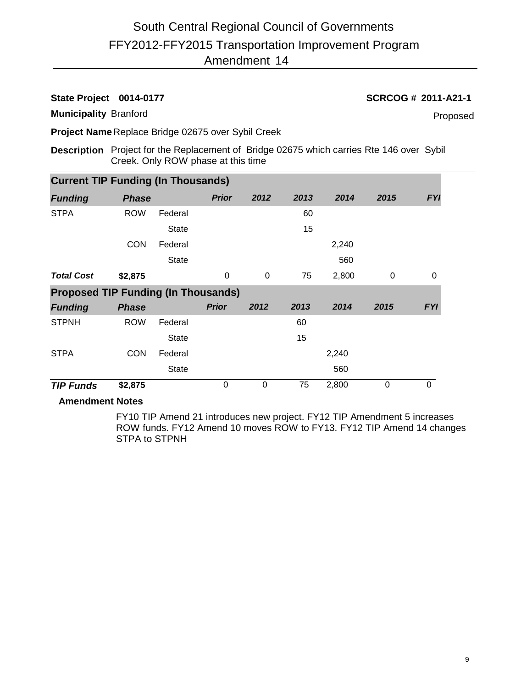### **State Project 0014-0177 SCRCOG # 2011-A21-1**

**Municipality** Branford

Proposed

**Project Name** Replace Bridge 02675 over Sybil Creek

**Description** Project for the Replacement of Bridge 02675 which carries Rte 146 over Sybil Creek. Only ROW phase at this time

| <b>Current TIP Funding (In Thousands)</b>  |              |              |              |          |      |       |          |            |  |
|--------------------------------------------|--------------|--------------|--------------|----------|------|-------|----------|------------|--|
| <b>Funding</b>                             | <b>Phase</b> |              | <b>Prior</b> | 2012     | 2013 | 2014  | 2015     | <b>FYI</b> |  |
| <b>STPA</b>                                | <b>ROW</b>   | Federal      |              |          | 60   |       |          |            |  |
|                                            |              | <b>State</b> |              |          | 15   |       |          |            |  |
|                                            | <b>CON</b>   | Federal      |              |          |      | 2,240 |          |            |  |
|                                            |              | <b>State</b> |              |          |      | 560   |          |            |  |
| <b>Total Cost</b>                          | \$2,875      |              | 0            | $\Omega$ | 75   | 2,800 | $\Omega$ | 0          |  |
| <b>Proposed TIP Funding (In Thousands)</b> |              |              |              |          |      |       |          |            |  |
|                                            |              |              |              |          |      |       |          |            |  |
| <b>Funding</b>                             | <b>Phase</b> |              | <b>Prior</b> | 2012     | 2013 | 2014  | 2015     | <b>FYI</b> |  |
| <b>STPNH</b>                               | <b>ROW</b>   | Federal      |              |          | 60   |       |          |            |  |
|                                            |              | <b>State</b> |              |          | 15   |       |          |            |  |
| <b>STPA</b>                                | <b>CON</b>   | Federal      |              |          |      | 2,240 |          |            |  |
|                                            |              | <b>State</b> |              |          |      | 560   |          |            |  |

## **Amendment Notes**

FY10 TIP Amend 21 introduces new project. FY12 TIP Amendment 5 increases ROW funds. FY12 Amend 10 moves ROW to FY13. FY12 TIP Amend 14 changes STPA to STPNH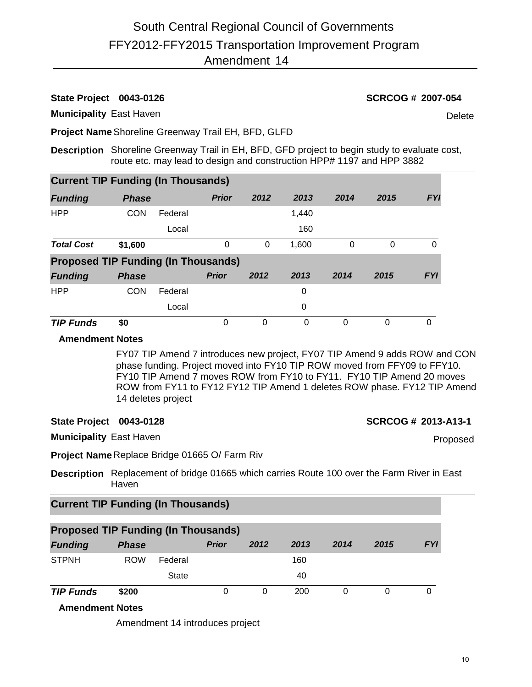## **State Project 0043-0126 SCRCOG # 2007-054**

**Municipality** East Haven

Delete

**Project Name**Shoreline Greenway Trail EH, BFD, GLFD

**Description** Shoreline Greenway Trail in EH, BFD, GFD project to begin study to evaluate cost, route etc. may lead to design and construction HPP# 1197 and HPP 3882

| <b>Current TIP Funding (In Thousands)</b>  |              |         |              |          |          |      |          |            |
|--------------------------------------------|--------------|---------|--------------|----------|----------|------|----------|------------|
| <b>Funding</b>                             | <b>Phase</b> |         | <b>Prior</b> | 2012     | 2013     | 2014 | 2015     | <b>FYI</b> |
| <b>HPP</b>                                 | <b>CON</b>   | Federal |              |          | 1,440    |      |          |            |
|                                            |              | Local   |              |          | 160      |      |          |            |
| <b>Total Cost</b>                          | \$1,600      |         | 0            | 0        | 1,600    | 0    | $\Omega$ | 0          |
| <b>Proposed TIP Funding (In Thousands)</b> |              |         |              |          |          |      |          |            |
| <b>Funding</b>                             | <b>Phase</b> |         | <b>Prior</b> | 2012     | 2013     | 2014 | 2015     | <b>FYI</b> |
| <b>HPP</b>                                 | <b>CON</b>   | Federal |              |          | 0        |      |          |            |
|                                            |              | Local   |              |          | 0        |      |          |            |
| <b>TIP Funds</b>                           | \$0          |         | $\Omega$     | $\Omega$ | $\Omega$ | 0    | 0        | 0          |

### **Amendment Notes**

FY07 TIP Amend 7 introduces new project, FY07 TIP Amend 9 adds ROW and CON phase funding. Project moved into FY10 TIP ROW moved from FFY09 to FFY10. FY10 TIP Amend 7 moves ROW from FY10 to FY11. FY10 TIP Amend 20 moves ROW from FY11 to FY12 FY12 TIP Amend 1 deletes ROW phase. FY12 TIP Amend 14 deletes project

### **State Project 0043-0128 SCRCOG # 2013-A13-1**

Proposed

**Municipality** East Haven

**Project Name** Replace Bridge 01665 O/ Farm Riv

**Description** Replacement of bridge 01665 which carries Route 100 over the Farm River in East Haven

# **Current TIP Funding (In Thousands)**

| <b>Proposed TIP Funding (In Thousands)</b> |              |              |              |      |      |      |      |            |  |  |  |  |
|--------------------------------------------|--------------|--------------|--------------|------|------|------|------|------------|--|--|--|--|
| <b>Funding</b>                             | <b>Phase</b> |              | <b>Prior</b> | 2012 | 2013 | 2014 | 2015 | <b>FYI</b> |  |  |  |  |
| <b>STPNH</b>                               | <b>ROW</b>   | Federal      |              |      | 160  |      |      |            |  |  |  |  |
|                                            |              | <b>State</b> |              |      | 40   |      |      |            |  |  |  |  |
| <b>TIP Funds</b>                           | \$200        |              | 0            |      | 200  |      |      |            |  |  |  |  |

### **Amendment Notes**

Amendment 14 introduces project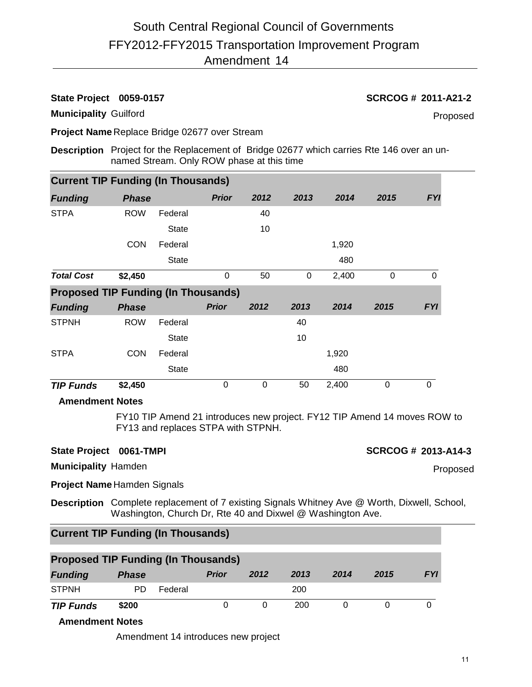**State Project 0059-0157 SCRCOG # 2011-A21-2**

**Municipality** Guilford

Proposed

**Project Name** Replace Bridge 02677 over Stream

**Description** Project for the Replacement of Bridge 02677 which carries Rte 146 over an unnamed Stream. Only ROW phase at this time

| <b>Current TIP Funding (In Thousands)</b>  |              |              |              |      |      |       |          |            |  |  |  |  |
|--------------------------------------------|--------------|--------------|--------------|------|------|-------|----------|------------|--|--|--|--|
| <b>Funding</b>                             | <b>Phase</b> |              | <b>Prior</b> | 2012 | 2013 | 2014  | 2015     | <b>FYI</b> |  |  |  |  |
| <b>STPA</b>                                | <b>ROW</b>   | Federal      |              | 40   |      |       |          |            |  |  |  |  |
|                                            |              | <b>State</b> |              | 10   |      |       |          |            |  |  |  |  |
|                                            | <b>CON</b>   | Federal      |              |      |      | 1,920 |          |            |  |  |  |  |
|                                            |              | <b>State</b> |              |      |      | 480   |          |            |  |  |  |  |
| <b>Total Cost</b>                          | \$2,450      |              | 0            | 50   | 0    | 2,400 | $\Omega$ | 0          |  |  |  |  |
| <b>Proposed TIP Funding (In Thousands)</b> |              |              |              |      |      |       |          |            |  |  |  |  |
| <b>Funding</b>                             | <b>Phase</b> |              | <b>Prior</b> | 2012 | 2013 | 2014  | 2015     | <b>FYI</b> |  |  |  |  |
| <b>STPNH</b>                               | <b>ROW</b>   | Federal      |              |      | 40   |       |          |            |  |  |  |  |
|                                            |              | <b>State</b> |              |      | 10   |       |          |            |  |  |  |  |
| <b>STPA</b>                                | <b>CON</b>   | Federal      |              |      |      | 1,920 |          |            |  |  |  |  |
|                                            |              |              |              |      |      |       |          |            |  |  |  |  |
|                                            |              | <b>State</b> |              |      |      | 480   |          |            |  |  |  |  |

### **Amendment Notes**

FY10 TIP Amend 21 introduces new project. FY12 TIP Amend 14 moves ROW to FY13 and replaces STPA with STPNH.

### **State Project 0061-TMPI SCRCOG # 2013-A14-3**

**Municipality** Hamden

Proposed

**Project Name** Hamden Signals

**Description** Complete replacement of 7 existing Signals Whitney Ave @ Worth, Dixwell, School, Washington, Church Dr, Rte 40 and Dixwel @ Washington Ave.

# **Current TIP Funding (In Thousands)**

| <b>Proposed TIP Funding (In Thousands)</b> |              |         |              |      |      |      |      |            |  |  |  |
|--------------------------------------------|--------------|---------|--------------|------|------|------|------|------------|--|--|--|
| <b>Funding</b>                             | <b>Phase</b> |         | <b>Prior</b> | 2012 | 2013 | 2014 | 2015 | <b>FYI</b> |  |  |  |
| <b>STPNH</b>                               | PD.          | Federal |              |      | 200  |      |      |            |  |  |  |
| <b>TIP Funds</b>                           | \$200        |         |              |      | 200  |      |      |            |  |  |  |

### **Amendment Notes**

Amendment 14 introduces new project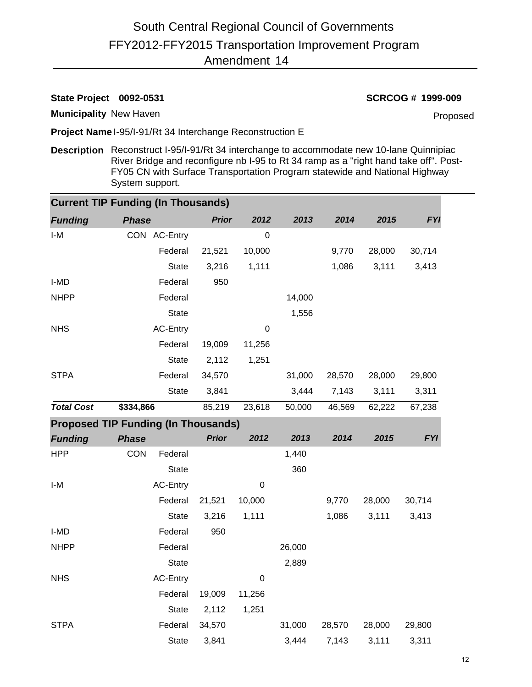# **State Project 0092-0531 SCRCOG # 1999-009**

**Municipality** New Haven

Proposed

**Project Name** I-95/I-91/Rt 34 Interchange Reconstruction E

**Description** Reconstruct I-95/I-91/Rt 34 interchange to accommodate new 10-lane Quinnipiac River Bridge and reconfigure nb I-95 to Rt 34 ramp as a "right hand take off". Post-FY05 CN with Surface Transportation Program statewide and National Highway System support.

| <b>Current TIP Funding (In Thousands)</b> |                                            |              |             |        |        |        |            |  |  |  |  |  |
|-------------------------------------------|--------------------------------------------|--------------|-------------|--------|--------|--------|------------|--|--|--|--|--|
| <b>Funding</b>                            | <b>Phase</b>                               | <b>Prior</b> | 2012        | 2013   | 2014   | 2015   | <b>FYI</b> |  |  |  |  |  |
| $I-M$                                     | CON AC-Entry                               |              | $\pmb{0}$   |        |        |        |            |  |  |  |  |  |
|                                           | Federal                                    | 21,521       | 10,000      |        | 9,770  | 28,000 | 30,714     |  |  |  |  |  |
|                                           | State                                      | 3,216        | 1,111       |        | 1,086  | 3,111  | 3,413      |  |  |  |  |  |
| I-MD                                      | Federal                                    | 950          |             |        |        |        |            |  |  |  |  |  |
| <b>NHPP</b>                               | Federal                                    |              |             | 14,000 |        |        |            |  |  |  |  |  |
|                                           | State                                      |              |             | 1,556  |        |        |            |  |  |  |  |  |
| <b>NHS</b>                                | <b>AC-Entry</b>                            |              | 0           |        |        |        |            |  |  |  |  |  |
|                                           | Federal                                    | 19,009       | 11,256      |        |        |        |            |  |  |  |  |  |
|                                           | State                                      | 2,112        | 1,251       |        |        |        |            |  |  |  |  |  |
| <b>STPA</b>                               | Federal                                    | 34,570       |             | 31,000 | 28,570 | 28,000 | 29,800     |  |  |  |  |  |
|                                           | State                                      | 3,841        |             | 3,444  | 7,143  | 3,111  | 3,311      |  |  |  |  |  |
| <b>Total Cost</b>                         | \$334,866                                  | 85,219       | 23,618      | 50,000 | 46,569 | 62,222 | 67,238     |  |  |  |  |  |
|                                           | <b>Proposed TIP Funding (In Thousands)</b> |              |             |        |        |        |            |  |  |  |  |  |
| <b>Funding</b>                            | <b>Phase</b>                               | <b>Prior</b> | 2012        | 2013   | 2014   | 2015   | <b>FYI</b> |  |  |  |  |  |
| <b>HPP</b>                                | <b>CON</b><br>Federal                      |              |             | 1,440  |        |        |            |  |  |  |  |  |
|                                           | State                                      |              |             | 360    |        |        |            |  |  |  |  |  |
| I-M                                       | <b>AC-Entry</b>                            |              | $\mathbf 0$ |        |        |        |            |  |  |  |  |  |
|                                           | Federal                                    | 21,521       | 10,000      |        | 9,770  | 28,000 | 30,714     |  |  |  |  |  |
|                                           | <b>State</b>                               | 3,216        | 1,111       |        | 1,086  | 3,111  | 3,413      |  |  |  |  |  |
| I-MD                                      | Federal                                    | 950          |             |        |        |        |            |  |  |  |  |  |
| <b>NHPP</b>                               | Federal                                    |              |             | 26,000 |        |        |            |  |  |  |  |  |
|                                           | State                                      |              |             | 2,889  |        |        |            |  |  |  |  |  |
| <b>NHS</b>                                | <b>AC-Entry</b>                            |              | 0           |        |        |        |            |  |  |  |  |  |
|                                           | Federal                                    | 19,009       | 11,256      |        |        |        |            |  |  |  |  |  |
|                                           | State                                      | 2,112        | 1,251       |        |        |        |            |  |  |  |  |  |
| <b>STPA</b>                               | Federal                                    | 34,570       |             | 31,000 | 28,570 | 28,000 | 29,800     |  |  |  |  |  |
|                                           | <b>State</b>                               | 3,841        |             | 3,444  | 7,143  | 3,111  | 3,311      |  |  |  |  |  |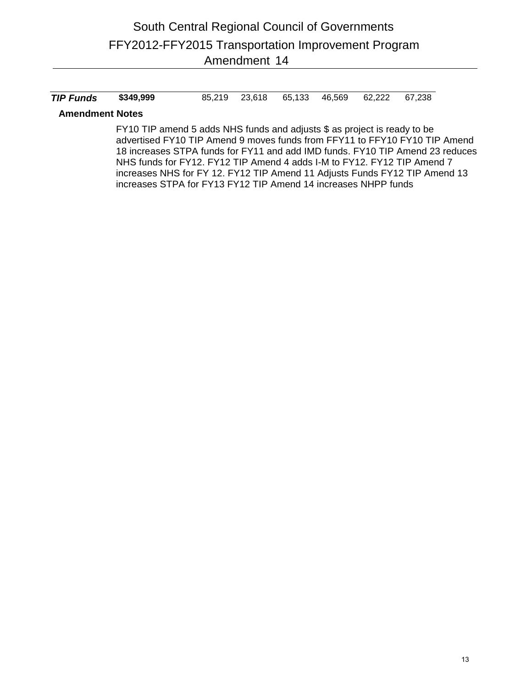| <b>TIP Funds</b> \$349,999<br>85,219 23,618 65,133 46,569 62,222 67,238 |
|-------------------------------------------------------------------------|
|-------------------------------------------------------------------------|

### **Amendment Notes**

FY10 TIP amend 5 adds NHS funds and adjusts \$ as project is ready to be advertised FY10 TIP Amend 9 moves funds from FFY11 to FFY10 FY10 TIP Amend 18 increases STPA funds for FY11 and add IMD funds. FY10 TIP Amend 23 reduces NHS funds for FY12. FY12 TIP Amend 4 adds I-M to FY12. FY12 TIP Amend 7 increases NHS for FY 12. FY12 TIP Amend 11 Adjusts Funds FY12 TIP Amend 13 increases STPA for FY13 FY12 TIP Amend 14 increases NHPP funds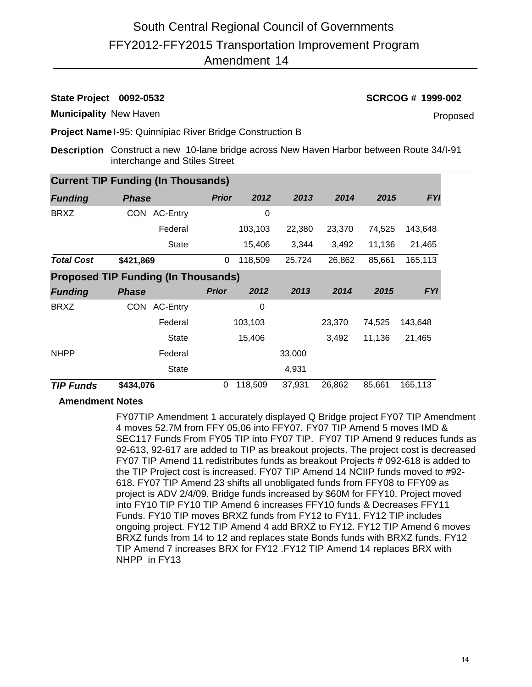### **State Project 0092-0532 SCRCOG # 1999-002**

**Municipality** New Haven

Proposed

**Project Name** I-95: Quinnipiac River Bridge Construction B

**Description** Construct a new 10-lane bridge across New Haven Harbor between Route 34/I-91 interchange and Stiles Street

| <b>Current TIP Funding (In Thousands)</b>  |                               |              |         |        |        |        |            |  |  |  |  |  |  |
|--------------------------------------------|-------------------------------|--------------|---------|--------|--------|--------|------------|--|--|--|--|--|--|
| <b>Funding</b>                             | <b>Phase</b>                  | <b>Prior</b> | 2012    | 2013   | 2014   | 2015   | <b>FYI</b> |  |  |  |  |  |  |
| <b>BRXZ</b>                                | AC-Entry<br>CON               |              | 0       |        |        |        |            |  |  |  |  |  |  |
|                                            | Federal                       |              | 103,103 | 22,380 | 23,370 | 74,525 | 143,648    |  |  |  |  |  |  |
|                                            | <b>State</b>                  |              | 15,406  | 3,344  | 3,492  | 11,136 | 21,465     |  |  |  |  |  |  |
| <b>Total Cost</b>                          | \$421,869                     | 0            | 118,509 | 25,724 | 26,862 | 85,661 | 165,113    |  |  |  |  |  |  |
| <b>Proposed TIP Funding (In Thousands)</b> |                               |              |         |        |        |        |            |  |  |  |  |  |  |
| <b>Funding</b>                             | <b>Phase</b>                  | <b>Prior</b> | 2012    | 2013   | 2014   | 2015   | <b>FYI</b> |  |  |  |  |  |  |
| <b>BRXZ</b>                                | <b>AC-Entry</b><br><b>CON</b> |              | 0       |        |        |        |            |  |  |  |  |  |  |
|                                            | Federal                       |              | 103,103 |        | 23,370 | 74,525 | 143,648    |  |  |  |  |  |  |
|                                            | <b>State</b>                  |              | 15,406  |        | 3,492  | 11,136 | 21,465     |  |  |  |  |  |  |
| <b>NHPP</b>                                | Federal                       |              |         | 33,000 |        |        |            |  |  |  |  |  |  |
|                                            | <b>State</b>                  |              |         | 4,931  |        |        |            |  |  |  |  |  |  |
| <b>TIP Funds</b>                           | \$434,076                     | 0            | 118,509 | 37,931 | 26,862 | 85,661 | 165,113    |  |  |  |  |  |  |

### **Amendment Notes**

FY07TIP Amendment 1 accurately displayed Q Bridge project FY07 TIP Amendment 4 moves 52.7M from FFY 05,06 into FFY07. FY07 TIP Amend 5 moves IMD & SEC117 Funds From FY05 TIP into FY07 TIP. FY07 TIP Amend 9 reduces funds as 92-613, 92-617 are added to TIP as breakout projects. The project cost is decreased FY07 TIP Amend 11 redistributes funds as breakout Projects # 092-618 is added to the TIP Project cost is increased. FY07 TIP Amend 14 NCIIP funds moved to #92- 618. FY07 TIP Amend 23 shifts all unobligated funds from FFY08 to FFY09 as project is ADV 2/4/09. Bridge funds increased by \$60M for FFY10. Project moved into FY10 TIP FY10 TIP Amend 6 increases FFY10 funds & Decreases FFY11 Funds. FY10 TIP moves BRXZ funds from FY12 to FY11. FY12 TIP includes ongoing project. FY12 TIP Amend 4 add BRXZ to FY12. FY12 TIP Amend 6 moves BRXZ funds from 14 to 12 and replaces state Bonds funds with BRXZ funds. FY12 TIP Amend 7 increases BRX for FY12 .FY12 TIP Amend 14 replaces BRX with NHPP in FY13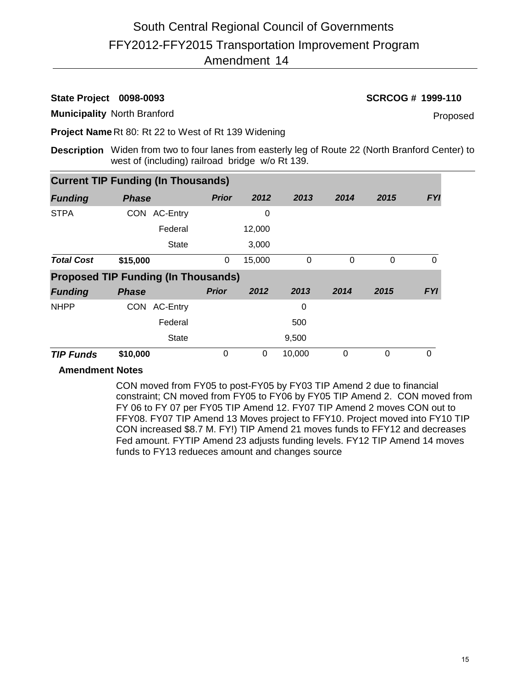### **State Project 0098-0093 SCRCOG # 1999-110**

**Municipality** North Branford

Proposed

**Project Name** Rt 80: Rt 22 to West of Rt 139 Widening

**Description** Widen from two to four lanes from easterly leg of Route 22 (North Branford Center) to west of (including) railroad bridge w/o Rt 139.

| <b>Current TIP Funding (In Thousands)</b> |                                            |              |        |        |      |          |            |  |  |  |  |  |  |
|-------------------------------------------|--------------------------------------------|--------------|--------|--------|------|----------|------------|--|--|--|--|--|--|
| <b>Funding</b>                            | <b>Phase</b>                               | <b>Prior</b> | 2012   | 2013   | 2014 | 2015     | <b>FYI</b> |  |  |  |  |  |  |
| <b>STPA</b>                               | AC-Entry<br><b>CON</b>                     |              | 0      |        |      |          |            |  |  |  |  |  |  |
|                                           | Federal                                    |              | 12,000 |        |      |          |            |  |  |  |  |  |  |
|                                           | <b>State</b>                               |              | 3,000  |        |      |          |            |  |  |  |  |  |  |
| <b>Total Cost</b>                         | \$15,000                                   | 0            | 15,000 | 0      | 0    | $\Omega$ | 0          |  |  |  |  |  |  |
|                                           | <b>Proposed TIP Funding (In Thousands)</b> |              |        |        |      |          |            |  |  |  |  |  |  |
| <b>Funding</b>                            | <b>Phase</b>                               | <b>Prior</b> | 2012   | 2013   | 2014 | 2015     | <b>FYI</b> |  |  |  |  |  |  |
| <b>NHPP</b>                               | <b>AC-Entry</b><br><b>CON</b>              |              |        | 0      |      |          |            |  |  |  |  |  |  |
|                                           | Federal                                    |              |        | 500    |      |          |            |  |  |  |  |  |  |
|                                           | <b>State</b>                               |              |        | 9,500  |      |          |            |  |  |  |  |  |  |
| <b>TIP Funds</b>                          | \$10,000                                   | 0            | 0      | 10,000 | 0    | $\Omega$ | $\Omega$   |  |  |  |  |  |  |

### **Amendment Notes**

CON moved from FY05 to post-FY05 by FY03 TIP Amend 2 due to financial constraint; CN moved from FY05 to FY06 by FY05 TIP Amend 2. CON moved from FY 06 to FY 07 per FY05 TIP Amend 12. FY07 TIP Amend 2 moves CON out to FFY08. FY07 TIP Amend 13 Moves project to FFY10. Project moved into FY10 TIP CON increased \$8.7 M. FY!) TIP Amend 21 moves funds to FFY12 and decreases Fed amount. FYTIP Amend 23 adjusts funding levels. FY12 TIP Amend 14 moves funds to FY13 redueces amount and changes source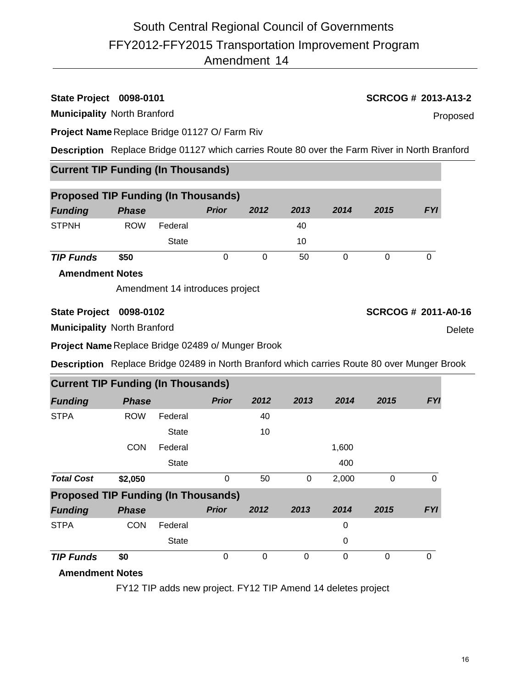# **State Project 0098-0101 SCRCOG # 2013-A13-2**

**Municipality** North Branford

**Project Name** Replace Bridge 01127 O/ Farm Riv

**Description** Replace Bridge 01127 which carries Route 80 over the Farm River in North Branford

# **Current TIP Funding (In Thousands)**

|                  | <b>Proposed TIP Funding (In Thousands)</b> |              |              |      |      |      |      |            |  |  |  |  |  |
|------------------|--------------------------------------------|--------------|--------------|------|------|------|------|------------|--|--|--|--|--|
| <b>Funding</b>   | <b>Phase</b>                               |              | <b>Prior</b> | 2012 | 2013 | 2014 | 2015 | <b>FYI</b> |  |  |  |  |  |
| <b>STPNH</b>     | <b>ROW</b>                                 | Federal      |              |      | 40   |      |      |            |  |  |  |  |  |
|                  |                                            | <b>State</b> |              |      | 10   |      |      |            |  |  |  |  |  |
| <b>TIP Funds</b> | \$50                                       |              |              | 0    | 50   |      |      |            |  |  |  |  |  |

**Amendment Notes**

Amendment 14 introduces project

# **State Project 0098-0102 SCRCOG # 2011-A0-16**

**Municipality** North Branford

**Project Name** Replace Bridge 02489 o/ Munger Brook

**Description** Replace Bridge 02489 in North Branford which carries Route 80 over Munger Brook

|                                            | <b>Current TIP Funding (In Thousands)</b> |              |              |      |      |       |      |            |  |  |  |  |  |
|--------------------------------------------|-------------------------------------------|--------------|--------------|------|------|-------|------|------------|--|--|--|--|--|
| <b>Funding</b>                             | <b>Phase</b>                              |              | <b>Prior</b> | 2012 | 2013 | 2014  | 2015 | <b>FYI</b> |  |  |  |  |  |
| <b>STPA</b>                                | <b>ROW</b>                                | Federal      |              | 40   |      |       |      |            |  |  |  |  |  |
|                                            |                                           | <b>State</b> |              | 10   |      |       |      |            |  |  |  |  |  |
|                                            | <b>CON</b>                                | Federal      |              |      |      | 1,600 |      |            |  |  |  |  |  |
|                                            |                                           | <b>State</b> |              |      |      | 400   |      |            |  |  |  |  |  |
| <b>Total Cost</b>                          | \$2,050                                   |              | 0            | 50   | 0    | 2,000 | 0    | 0          |  |  |  |  |  |
| <b>Proposed TIP Funding (In Thousands)</b> |                                           |              |              |      |      |       |      |            |  |  |  |  |  |
| <b>Funding</b>                             | <b>Phase</b>                              |              | <b>Prior</b> | 2012 | 2013 | 2014  | 2015 | <b>FYI</b> |  |  |  |  |  |
| <b>STPA</b>                                | <b>CON</b>                                | Federal      |              |      |      | 0     |      |            |  |  |  |  |  |
|                                            |                                           | <b>State</b> |              |      |      | 0     |      |            |  |  |  |  |  |
| <b>TIP Funds</b>                           | \$0                                       |              | 0            | 0    | 0    | 0     | 0    | 0          |  |  |  |  |  |
| A contract character of Alberta.           |                                           |              |              |      |      |       |      |            |  |  |  |  |  |

# **Amendment Notes**

FY12 TIP adds new project. FY12 TIP Amend 14 deletes project

**Delete** 

Proposed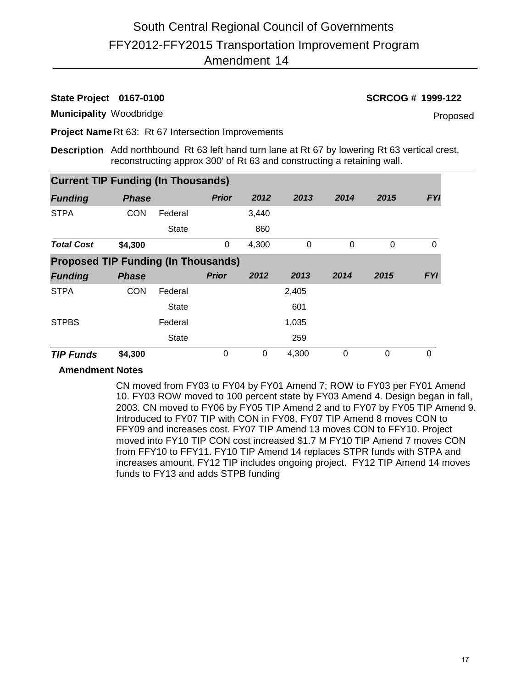### **State Project 0167-0100 SCRCOG # 1999-122**

**Municipality** Woodbridge

Proposed

**Project Name** Rt 63: Rt 67 Intersection Improvements

**Description** Add northbound Rt 63 left hand turn lane at Rt 67 by lowering Rt 63 vertical crest, reconstructing approx 300' of Rt 63 and constructing a retaining wall.

| <b>Current TIP Funding (In Thousands)</b>  |              |              |              |          |          |          |          |            |  |  |  |  |
|--------------------------------------------|--------------|--------------|--------------|----------|----------|----------|----------|------------|--|--|--|--|
| <b>Funding</b>                             | <b>Phase</b> |              | <b>Prior</b> | 2012     | 2013     | 2014     | 2015     | <b>FYI</b> |  |  |  |  |
| <b>STPA</b>                                | <b>CON</b>   | Federal      |              | 3,440    |          |          |          |            |  |  |  |  |
|                                            |              | <b>State</b> |              | 860      |          |          |          |            |  |  |  |  |
| <b>Total Cost</b>                          | \$4,300      |              | $\pmb{0}$    | 4,300    | $\Omega$ | $\Omega$ | $\Omega$ | $\Omega$   |  |  |  |  |
| <b>Proposed TIP Funding (In Thousands)</b> |              |              |              |          |          |          |          |            |  |  |  |  |
| <b>Funding</b>                             | <b>Phase</b> |              | <b>Prior</b> | 2012     | 2013     | 2014     | 2015     | <b>FYI</b> |  |  |  |  |
| <b>STPA</b>                                | <b>CON</b>   | Federal      |              |          | 2,405    |          |          |            |  |  |  |  |
|                                            |              | <b>State</b> |              |          | 601      |          |          |            |  |  |  |  |
| <b>STPBS</b>                               |              | Federal      |              |          | 1,035    |          |          |            |  |  |  |  |
|                                            |              | <b>State</b> |              |          | 259      |          |          |            |  |  |  |  |
| <b>TIP Funds</b>                           | \$4,300      |              | 0            | $\Omega$ | 4,300    | $\Omega$ | $\Omega$ | $\Omega$   |  |  |  |  |

### **Amendment Notes**

CN moved from FY03 to FY04 by FY01 Amend 7; ROW to FY03 per FY01 Amend 10. FY03 ROW moved to 100 percent state by FY03 Amend 4. Design began in fall, 2003. CN moved to FY06 by FY05 TIP Amend 2 and to FY07 by FY05 TIP Amend 9. Introduced to FY07 TIP with CON in FY08, FY07 TIP Amend 8 moves CON to FFY09 and increases cost. FY07 TIP Amend 13 moves CON to FFY10. Project moved into FY10 TIP CON cost increased \$1.7 M FY10 TIP Amend 7 moves CON from FFY10 to FFY11. FY10 TIP Amend 14 replaces STPR funds with STPA and increases amount. FY12 TIP includes ongoing project. FY12 TIP Amend 14 moves funds to FY13 and adds STPB funding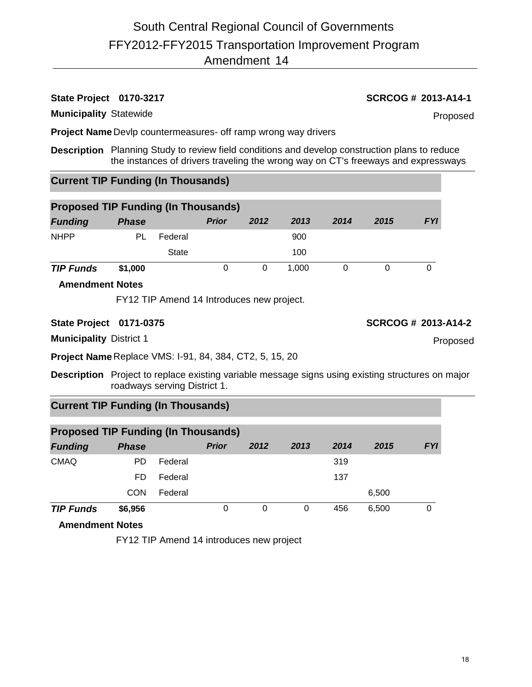### **Municipality** Statewide

**Project Name** Devlp countermeasures- off ramp wrong way drivers

**Description** Planning Study to review field conditions and develop construction plans to reduce the instances of drivers traveling the wrong way on CT's freeways and expressways

# **Current TIP Funding (In Thousands)**

| <b>Proposed TIP Funding (In Thousands)</b> |              |         |              |      |       |      |      |            |  |  |  |  |
|--------------------------------------------|--------------|---------|--------------|------|-------|------|------|------------|--|--|--|--|
| <b>Funding</b>                             | <b>Phase</b> |         | <b>Prior</b> | 2012 | 2013  | 2014 | 2015 | <b>FYI</b> |  |  |  |  |
| <b>NHPP</b>                                | PL           | Federal |              |      | 900   |      |      |            |  |  |  |  |
|                                            |              | State   |              |      | 100   |      |      |            |  |  |  |  |
| <b>TIP Funds</b>                           | \$1,000      |         |              |      | 1.000 |      |      |            |  |  |  |  |

### **Amendment Notes**

FY12 TIP Amend 14 Introduces new project.

## **State Project 0171-0375 SCRCOG # 2013-A14-2**

**Municipality** District 1

**Project Name** Replace VMS: I-91, 84, 384, CT2, 5, 15, 20

**Description** Project to replace existing variable message signs using existing structures on major roadways serving District 1.

# **Current TIP Funding (In Thousands)**

| <b>Proposed TIP Funding (In Thousands)</b> |              |         |              |      |      |      |       |            |  |  |  |  |
|--------------------------------------------|--------------|---------|--------------|------|------|------|-------|------------|--|--|--|--|
| <b>Funding</b>                             | <b>Phase</b> |         | <b>Prior</b> | 2012 | 2013 | 2014 | 2015  | <b>FYI</b> |  |  |  |  |
| <b>CMAQ</b>                                | PD.          | Federal |              |      |      | 319  |       |            |  |  |  |  |
|                                            | FD           | Federal |              |      |      | 137  |       |            |  |  |  |  |
|                                            | CON          | Federal |              |      |      |      | 6,500 |            |  |  |  |  |
| <b>TIP Funds</b>                           | \$6,956      |         | 0            | 0    | 0    | 456  | 6.500 |            |  |  |  |  |

**Amendment Notes**

FY12 TIP Amend 14 introduces new project

Proposed

**State Project 0170-3217 SCRCOG # 2013-A14-1**

Proposed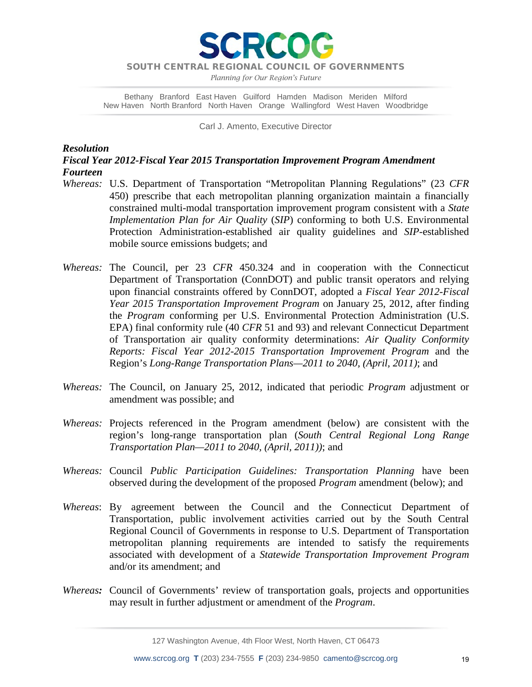SOUTH CENTRAL REGIONAL COUNCIL OF GOVERNMENTS

**ERCO** 

*Planning for Our Region's Future*

Bethany Branford East Haven Guilford Hamden Madison Meriden Milford New Haven North Branford North Haven Orange Wallingford West Haven Woodbridge

Carl J. Amento, Executive Director

### *Resolution*

*Fiscal Year 2012-Fiscal Year 2015 Transportation Improvement Program Amendment Fourteen*

- *Whereas:* U.S. Department of Transportation "Metropolitan Planning Regulations" (23 *CFR* 450) prescribe that each metropolitan planning organization maintain a financially constrained multi-modal transportation improvement program consistent with a *State Implementation Plan for Air Quality* (*SIP*) conforming to both U.S. Environmental Protection Administration-established air quality guidelines and *SIP*-established mobile source emissions budgets; and
- *Whereas:* The Council, per 23 *CFR* 450.324 and in cooperation with the Connecticut Department of Transportation (ConnDOT) and public transit operators and relying upon financial constraints offered by ConnDOT, adopted a *Fiscal Year 2012-Fiscal Year 2015 Transportation Improvement Program* on January 25, 2012, after finding the *Program* conforming per U.S. Environmental Protection Administration (U.S. EPA) final conformity rule (40 *CFR* 51 and 93) and relevant Connecticut Department of Transportation air quality conformity determinations: *Air Quality Conformity Reports: Fiscal Year 2012-2015 Transportation Improvement Program* and the Region's *Long-Range Transportation Plans—2011 to 2040, (April, 2011)*; and
- *Whereas:* The Council, on January 25, 2012, indicated that periodic *Program* adjustment or amendment was possible; and
- *Whereas:* Projects referenced in the Program amendment (below) are consistent with the region's long-range transportation plan (*South Central Regional Long Range Transportation Plan—2011 to 2040, (April, 2011))*; and
- *Whereas:* Council *Public Participation Guidelines: Transportation Planning* have been observed during the development of the proposed *Program* amendment (below); and
- *Whereas*: By agreement between the Council and the Connecticut Department of Transportation, public involvement activities carried out by the South Central Regional Council of Governments in response to U.S. Department of Transportation metropolitan planning requirements are intended to satisfy the requirements associated with development of a *Statewide Transportation Improvement Program* and/or its amendment; and
- *Whereas:* Council of Governments' review of transportation goals, projects and opportunities may result in further adjustment or amendment of the *Program*.

127 Washington Avenue, 4th Floor West, North Haven, CT 06473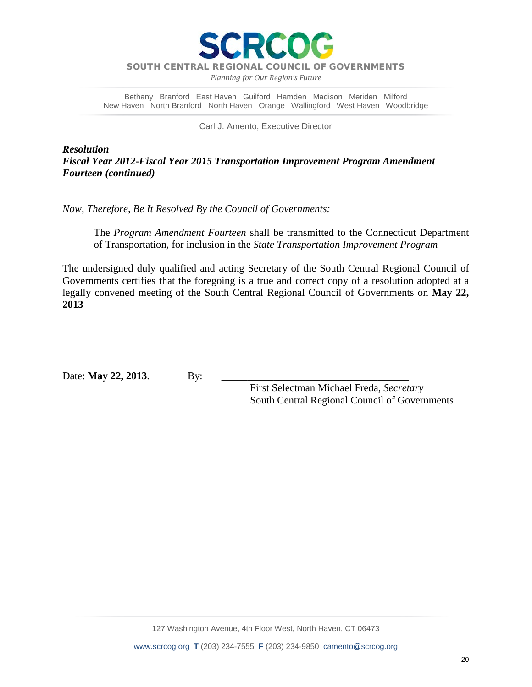

SOUTH CENTRAL REGIONAL COUNCIL OF GOVERNMENTS

*Planning for Our Region's Future*

Bethany Branford East Haven Guilford Hamden Madison Meriden Milford New Haven North Branford North Haven Orange Wallingford West Haven Woodbridge

Carl J. Amento, Executive Director

*Resolution Fiscal Year 2012-Fiscal Year 2015 Transportation Improvement Program Amendment Fourteen (continued)*

*Now, Therefore, Be It Resolved By the Council of Governments:*

The *Program Amendment Fourteen* shall be transmitted to the Connecticut Department of Transportation, for inclusion in the *State Transportation Improvement Program*

The undersigned duly qualified and acting Secretary of the South Central Regional Council of Governments certifies that the foregoing is a true and correct copy of a resolution adopted at a legally convened meeting of the South Central Regional Council of Governments on **May 22, 2013**

Date: **May 22, 2013**. By:

 First Selectman Michael Freda, *Secretary* South Central Regional Council of Governments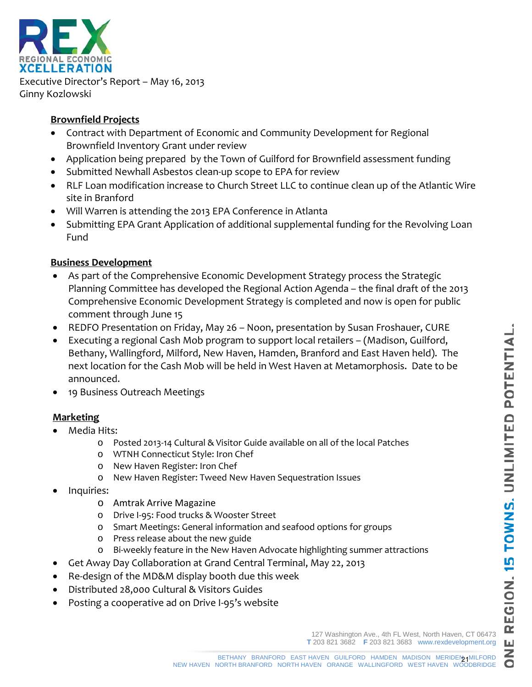$\Omega$ 



Executive Director's Report – May 16, 2013 Ginny Kozlowski

# **Brownfield Projects**

- Contract with Department of Economic and Community Development for Regional Brownfield Inventory Grant under review
- Application being prepared by the Town of Guilford for Brownfield assessment funding
- Submitted Newhall Asbestos clean-up scope to EPA for review
- RLF Loan modification increase to Church Street LLC to continue clean up of the Atlantic Wire site in Branford
- Will Warren is attending the 2013 EPA Conference in Atlanta
- Submitting EPA Grant Application of additional supplemental funding for the Revolving Loan Fund

# **Business Development**

- As part of the Comprehensive Economic Development Strategy process the Strategic Planning Committee has developed the Regional Action Agenda – the final draft 0f the 2013 Comprehensive Economic Development Strategy is completed and now is open for public comment through June 15
- REDFO Presentation on Friday, May 26 Noon, presentation by Susan Froshauer, CURE
- Executing a regional Cash Mob program to support local retailers (Madison, Guilford, Bethany, Wallingford, Milford, New Haven, Hamden, Branford and East Haven held). The next location for the Cash Mob will be held in West Haven at Metamorphosis. Date to be announced.
- 19 Business Outreach Meetings

# **Marketing**

- Media Hits:
	- o Posted 2013-14 Cultural & Visitor Guide available on all of the local Patches
	- o WTNH Connecticut Style: Iron Chef
	- o New Haven Register: Iron Chef
	- o New Haven Register: Tweed New Haven Sequestration Issues
- Inquiries:
	- o Amtrak Arrive Magazine
	- o Drive I-95: Food trucks & Wooster Street
	- o Smart Meetings: General information and seafood options for groups
	- o Press release about the new guide
	- o Bi-weekly feature in the New Haven Advocate highlighting summer attractions
- Get Away Day Collaboration at Grand Central Terminal, May 22, 2013
- Re-design of the MD&M display booth due this week
- Distributed 28,000 Cultural & Visitors Guides
- Posting a cooperative ad on Drive I-95's website

127 Washington Ave., 4th FL West, North Haven, CT 06473 **T** 203 821 3682 **F** 203 821 3683 www.rexdevelopment.org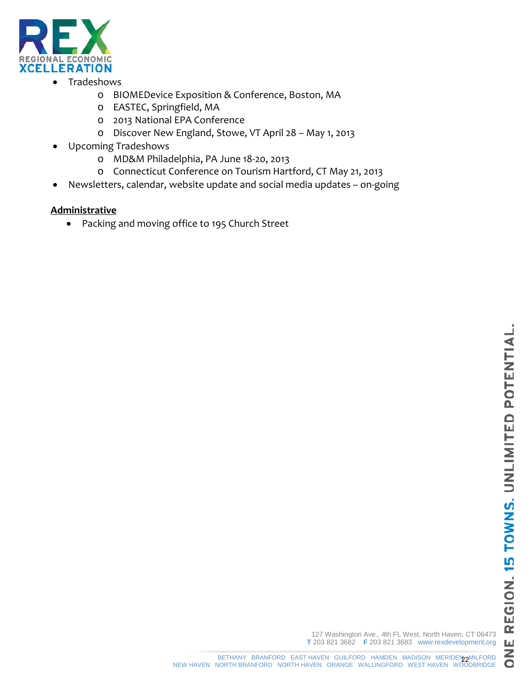

- Tradeshows
	- o BIOMEDevice Exposition & Conference, Boston, MA
	- o EASTEC, Springfield, MA
	- o 2013 National EPA Conference
	- Discover New England, Stowe, VT April 28 May 1, 2013
- Upcoming Tradeshows
	- o MD&M Philadelphia, PA June 18-20, 2013
	- o Connecticut Conference on Tourism Hartford, CT May 21, 2013
- Newsletters, calendar, website update and social media updates on-going

## **Administrative**

• Packing and moving office to 195 Church Street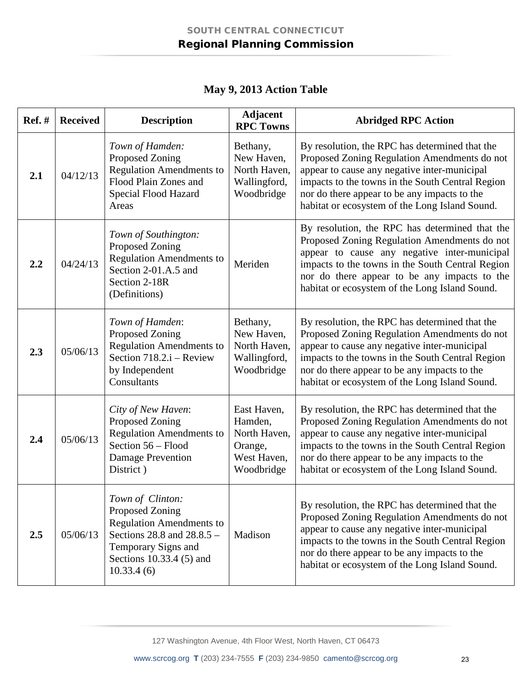|  |  | May 9, 2013 Action Table |  |
|--|--|--------------------------|--|
|--|--|--------------------------|--|

| <b>Ref.</b> # | <b>Received</b> | <b>Description</b>                                                                                                                                                    | <b>Adjacent</b><br><b>RPC Towns</b>                                            | <b>Abridged RPC Action</b>                                                                                                                                                                                                                                                                           |
|---------------|-----------------|-----------------------------------------------------------------------------------------------------------------------------------------------------------------------|--------------------------------------------------------------------------------|------------------------------------------------------------------------------------------------------------------------------------------------------------------------------------------------------------------------------------------------------------------------------------------------------|
| 2.1           | 04/12/13        | Town of Hamden:<br>Proposed Zoning<br><b>Regulation Amendments to</b><br>Flood Plain Zones and<br>Special Flood Hazard<br>Areas                                       | Bethany,<br>New Haven,<br>North Haven,<br>Wallingford,<br>Woodbridge           | By resolution, the RPC has determined that the<br>Proposed Zoning Regulation Amendments do not<br>appear to cause any negative inter-municipal<br>impacts to the towns in the South Central Region<br>nor do there appear to be any impacts to the<br>habitat or ecosystem of the Long Island Sound. |
| 2.2           | 04/24/13        | Town of Southington:<br>Proposed Zoning<br><b>Regulation Amendments to</b><br>Section 2-01.A.5 and<br>Section 2-18R<br>(Definitions)                                  | Meriden                                                                        | By resolution, the RPC has determined that the<br>Proposed Zoning Regulation Amendments do not<br>appear to cause any negative inter-municipal<br>impacts to the towns in the South Central Region<br>nor do there appear to be any impacts to the<br>habitat or ecosystem of the Long Island Sound. |
| 2.3           | 05/06/13        | Town of Hamden:<br>Proposed Zoning<br><b>Regulation Amendments to</b><br>Section 718.2.i - Review<br>by Independent<br>Consultants                                    | Bethany,<br>New Haven,<br>North Haven,<br>Wallingford,<br>Woodbridge           | By resolution, the RPC has determined that the<br>Proposed Zoning Regulation Amendments do not<br>appear to cause any negative inter-municipal<br>impacts to the towns in the South Central Region<br>nor do there appear to be any impacts to the<br>habitat or ecosystem of the Long Island Sound. |
| 2.4           | 05/06/13        | City of New Haven:<br>Proposed Zoning<br><b>Regulation Amendments to</b><br>Section 56 - Flood<br>Damage Prevention<br>District)                                      | East Haven,<br>Hamden,<br>North Haven,<br>Orange,<br>West Haven,<br>Woodbridge | By resolution, the RPC has determined that the<br>Proposed Zoning Regulation Amendments do not<br>appear to cause any negative inter-municipal<br>impacts to the towns in the South Central Region<br>nor do there appear to be any impacts to the<br>habitat or ecosystem of the Long Island Sound. |
| 2.5           | 05/06/13        | Town of Clinton:<br>Proposed Zoning<br><b>Regulation Amendments to</b><br>Sections 28.8 and 28.8.5 -<br>Temporary Signs and<br>Sections 10.33.4 (5) and<br>10.33.4(6) | Madison                                                                        | By resolution, the RPC has determined that the<br>Proposed Zoning Regulation Amendments do not<br>appear to cause any negative inter-municipal<br>impacts to the towns in the South Central Region<br>nor do there appear to be any impacts to the<br>habitat or ecosystem of the Long Island Sound. |

127 Washington Avenue, 4th Floor West, North Haven, CT 06473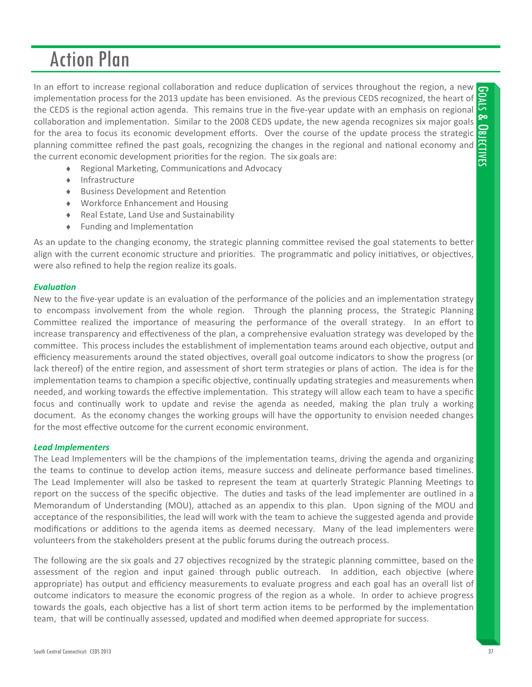In an effort to increase regional collaboration and reduce duplication of services throughout the region, a new GOALS & OBJECTIVESimplementation process for the 2013 update has been envisioned. As the previous CEDS recognized, the heart of the CEDS is the regional action agenda. This remains true in the five-year update with an emphasis on regional ନ୍ଦ collaboration and implementation. Similar to the 2008 CEDS update, the new agenda recognizes six major goals for the area to focus its economic development efforts. Over the course of the update process the strategic JECTIVES planning committee refined the past goals, recognizing the changes in the regional and national economy and the current economic development priorities for the region. The six goals are:

- ◆ Regional Marketing, Communications and Advocacy
- $\leftarrow$  Infrastructure
- ◆ Business Development and Retention
- Workforce Enhancement and Housing
- Real Estate, Land Use and Sustainability
- ◆ Funding and Implementation

As an update to the changing economy, the strategic planning committee revised the goal statements to better align with the current economic structure and priorities. The programmatic and policy initiatives, or objectives, were also refined to help the region realize its goals.

### *EvaluaƟon*

New to the five-year update is an evaluation of the performance of the policies and an implementation strategy to encompass involvement from the whole region. Through the planning process, the Strategic Planning Committee realized the importance of measuring the performance of the overall strategy. In an effort to increase transparency and effectiveness of the plan, a comprehensive evaluation strategy was developed by the committee. This process includes the establishment of implementation teams around each objective, output and efficiency measurements around the stated objectives, overall goal outcome indicators to show the progress (or lack thereof) of the entire region, and assessment of short term strategies or plans of action. The idea is for the implementation teams to champion a specific objective, continually updating strategies and measurements when needed, and working towards the effective implementation. This strategy will allow each team to have a specific focus and continually work to update and revise the agenda as needed, making the plan truly a working document. As the economy changes the working groups will have the opportunity to envision needed changes for the most effective outcome for the current economic environment.

### *Lead Implementers*

The Lead Implementers will be the champions of the implementation teams, driving the agenda and organizing the teams to continue to develop action items, measure success and delineate performance based timelines. The Lead Implementer will also be tasked to represent the team at quarterly Strategic Planning Meetings to report on the success of the specific objective. The duties and tasks of the lead implementer are outlined in a Memorandum of Understanding (MOU), attached as an appendix to this plan. Upon signing of the MOU and acceptance of the responsibilities, the lead will work with the team to achieve the suggested agenda and provide modifications or additions to the agenda items as deemed necessary. Many of the lead implementers were volunteers from the stakeholders present at the public forums during the outreach process.

The following are the six goals and 27 objectives recognized by the strategic planning committee, based on the assessment of the region and input gained through public outreach. In addition, each objective (where appropriate) has output and efficiency measurements to evaluate progress and each goal has an overall list of outcome indicators to measure the economic progress of the region as a whole. In order to achieve progress towards the goals, each objective has a list of short term action items to be performed by the implementation team, that will be continually assessed, updated and modified when deemed appropriate for success.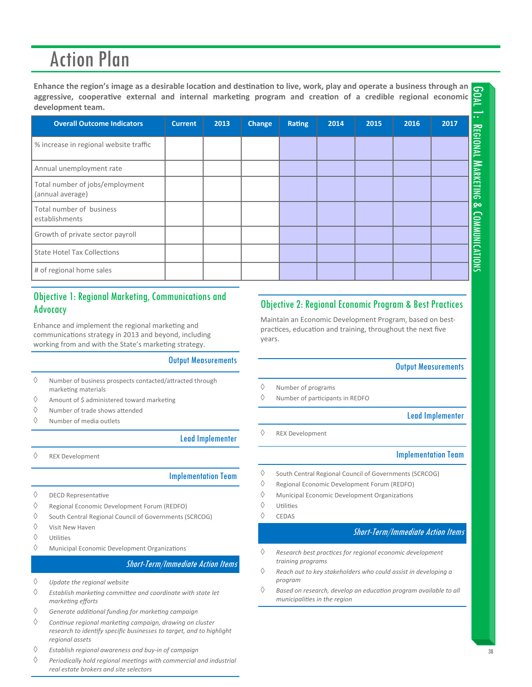Enhance the region's image as a desirable location and destination to live, work, play and operate a business through an aggressive, cooperative external and internal marketing program and creation of a credible regional economic **development team.**

| $\epsilon$ mance the region $\epsilon$ mage as a uestiable focation and destination to live, work, play and operate a business through an $\sigma$<br>aggressive, cooperative external and internal marketing program and creation of a credible regional economic<br>development team. |                |      |        |        |      |      |      |                                     |
|-----------------------------------------------------------------------------------------------------------------------------------------------------------------------------------------------------------------------------------------------------------------------------------------|----------------|------|--------|--------|------|------|------|-------------------------------------|
| <b>Overall Outcome Indicators</b>                                                                                                                                                                                                                                                       | <b>Current</b> | 2013 | Change | Rating | 2014 | 2015 | 2016 | $\sim 10^{-1}$<br>2017              |
| % increase in regional website traffic                                                                                                                                                                                                                                                  |                |      |        |        |      |      |      | <b>REGIONAL</b>                     |
| Annual unemployment rate                                                                                                                                                                                                                                                                |                |      |        |        |      |      |      |                                     |
| Total number of jobs/employment<br>(annual average)                                                                                                                                                                                                                                     |                |      |        |        |      |      |      | <b>MARKETING</b>                    |
| Total number of business<br>establishments                                                                                                                                                                                                                                              |                |      |        |        |      |      |      | ନ୍ଦ                                 |
| Growth of private sector payroll                                                                                                                                                                                                                                                        |                |      |        |        |      |      |      |                                     |
| <b>State Hotel Tax Collections</b>                                                                                                                                                                                                                                                      |                |      |        |        |      |      |      | <b><i><u>COMMUNICATIONS</u></i></b> |
| # of regional home sales                                                                                                                                                                                                                                                                |                |      |        |        |      |      |      |                                     |

# Objective 1: Regional Marketing, Communications and Advocacy

Enhance and implement the regional marketing and communications strategy in 2013 and beyond, including working from and with the State's marketing strategy.

### Output Measurements

- $\Diamond$  Number of business prospects contacted/attracted through marketing materials
- $\Diamond$  Amount of \$ administered toward marketing
- $\Diamond$  Number of trade shows attended
- $\Diamond$  Number of media outlets

### Lead Implementer

 $\Diamond$  REX Development

### Implementation Team

- $\Diamond$  DECD Representative
- $\Diamond$  Regional Economic Development Forum (REDFO)
- $\Diamond$  South Central Regional Council of Governments (SCRCOG)
- $\Diamond$  Visit New Haven
- $\Diamond$  Utilities
- $\Diamond$  Municipal Economic Development Organizations

### Short-Term/Immediate Action Items

- *Update the regional website*
- *Establish markeƟng commiƩee and coordinate with state let markeƟng efforts*
- *Generate addiƟonal funding for markeƟng campaign*
- *ConƟnue regional markeƟng campaign, drawing on cluster research to idenƟfy specific businesses to target, and to highlight regional assets*
- $\Diamond$  Establish regional awareness and buy-in of campaign **and** *a*  $\Box$  **38**
- *Periodically hold regional meeƟngs with commercial and industrial real estate brokers and site selectors*

# Objective 2: Regional Economic Program & Best Practices

Maintain an Economic Development Program, based on best‐ practices, education and training, throughout the next five years.

### Output Measurements

**POAL** 

- $\Diamond$  Number of programs
- $\Diamond$  Number of participants in REDFO

Lead Implementer

REX Development

### Implementation Team

- $\Diamond$  South Central Regional Council of Governments (SCRCOG)
- $\Diamond$  Regional Economic Development Forum (REDFO)
- $\Diamond$  Municipal Economic Development Organizations
- $\diamond$  Utilities
- $\Diamond$  CEDAS

- *Research best pracƟces for regional economic development training programs*
- *Reach out to key stakeholders who could assist in developing a program*
- *Based on research, develop an educaƟon program available to all municipaliƟes in the region*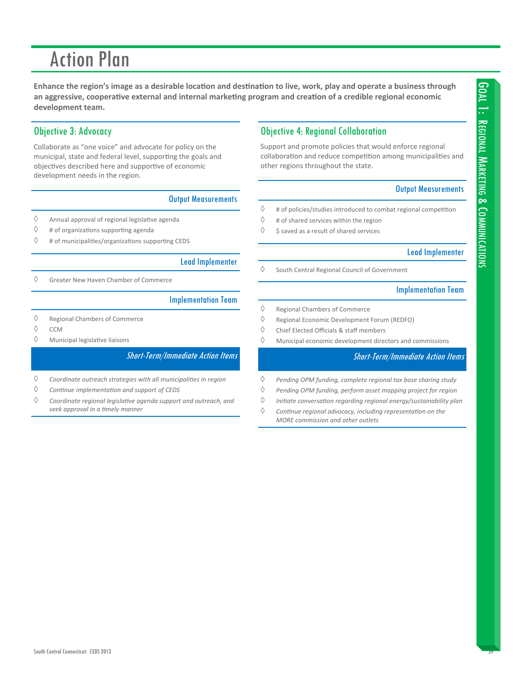Enhance the region's image as a desirable location and destination to live, work, play and operate a business through an aggressive, cooperative external and internal marketing program and creation of a credible regional economic **development team.**

# Objective 3: Advocacy

Collaborate as "one voice" and advocate for policy on the municipal, state and federal level, supporting the goals and objectives described here and supportive of economic development needs in the region.

### Output Measurements

- $\Diamond$  Annual approval of regional legislative agenda
- $\Diamond$  # of organizations supporting agenda
- $\Diamond$  # of municipalities/organizations supporting CEDS

### Lead Implementer

Greater New Haven Chamber of Commerce

### Implementation Team

- $\Diamond$  Regional Chambers of Commerce
- $\Diamond$  CCM
- $\Diamond$  Municipal legislative liaisons

### Short-Term/Immediate Action Items

- *Coordinate outreach strategies with all municipaliƟes in region*
- *ConƟnue implementaƟon and support of CEDS*
- *Coordinate regional legislaƟve agenda support and outreach, and seek approval in a Ɵmely manner*

## Objective 4: Regional Collaboration

Support and promote policies that would enforce regional collaboration and reduce competition among municipalities and other regions throughout the state.

### Output Measurements

- $\Diamond$  # of policies/studies introduced to combat regional competition
- $\Diamond$  # of shared services within the region
- $\Diamond$  \$ saved as a result of shared services

### Lead Implementer

 $\Diamond$  South Central Regional Council of Government

### Implementation Team

- $\Diamond$  Regional Chambers of Commerce
- $\Diamond$  Regional Economic Development Forum (REDFO)
- $\Diamond$  Chief Elected Officials & staff members
- $\Diamond$  Municipal economic development directors and commissions

- *Pending OPM funding, complete regional tax base sharing study*
- *Pending OPM funding, perform asset mapping project for region*
- *IniƟate conversaƟon regarding regional energy/sustainability plan*
- *ConƟnue regional advocacy, including representaƟon on the MORE commission and other outlets*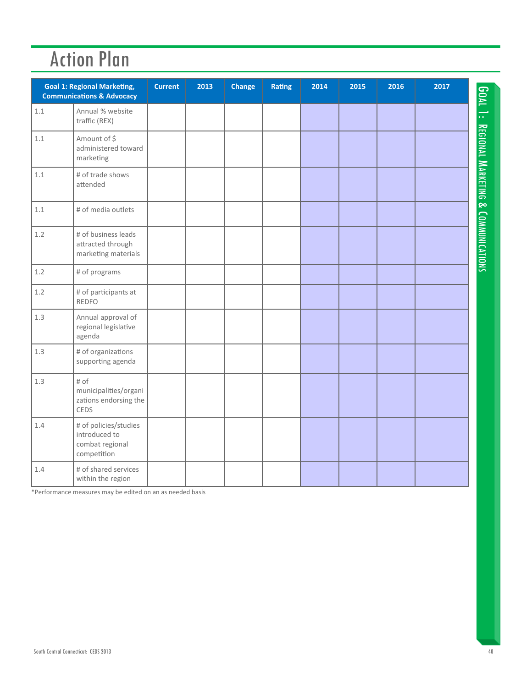|         | <b>Goal 1: Regional Marketing,</b><br><b>Communications &amp; Advocacy</b> | <b>Current</b> | 2013 | Change | <b>Rating</b> | 2014 | 2015 | 2016 | 2017 |                                     |
|---------|----------------------------------------------------------------------------|----------------|------|--------|---------------|------|------|------|------|-------------------------------------|
| 1.1     | Annual % website<br>traffic (REX)                                          |                |      |        |               |      |      |      |      | GOAL 1:                             |
| $1.1\,$ | Amount of \$<br>administered toward<br>marketing                           |                |      |        |               |      |      |      |      |                                     |
| 1.1     | # of trade shows<br>attended                                               |                |      |        |               |      |      |      |      |                                     |
| 1.1     | # of media outlets                                                         |                |      |        |               |      |      |      |      |                                     |
| 1.2     | # of business leads<br>attracted through<br>marketing materials            |                |      |        |               |      |      |      |      | REGIONAL MARKETING & COMMUNICATIONS |
| 1.2     | # of programs                                                              |                |      |        |               |      |      |      |      |                                     |
| 1.2     | # of participants at<br><b>REDFO</b>                                       |                |      |        |               |      |      |      |      |                                     |
| 1.3     | Annual approval of<br>regional legislative<br>agenda                       |                |      |        |               |      |      |      |      |                                     |
| $1.3\,$ | # of organizations<br>supporting agenda                                    |                |      |        |               |      |      |      |      |                                     |
| 1.3     | # of<br>municipalities/organi<br>zations endorsing the<br>CEDS             |                |      |        |               |      |      |      |      |                                     |
| 1.4     | # of policies/studies<br>introduced to<br>combat regional<br>competition   |                |      |        |               |      |      |      |      |                                     |
| 1.4     | # of shared services<br>within the region                                  |                |      |        |               |      |      |      |      |                                     |

\*Performance measures may be edited on an as needed basis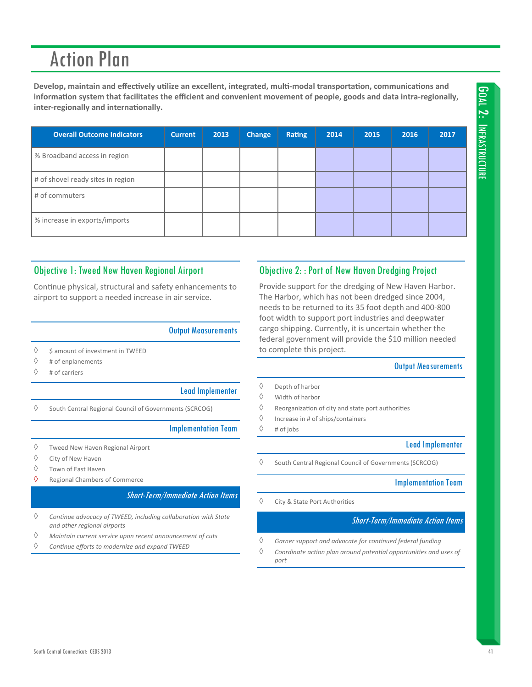Develop, maintain and effectively utilize an excellent, integrated, multi-modal transportation, communications and information system that facilitates the efficient and convenient movement of people, goods and data intra-regionally, **inter‐regionally and internaƟonally.**

| <b>Overall Outcome Indicators</b> | <b>Current</b> | 2013 | Change | Rating | 2014 | 2015 | 2016 | 2017 |
|-----------------------------------|----------------|------|--------|--------|------|------|------|------|
| % Broadband access in region      |                |      |        |        |      |      |      |      |
| # of shovel ready sites in region |                |      |        |        |      |      |      |      |
| # of commuters                    |                |      |        |        |      |      |      |      |
| % increase in exports/imports     |                |      |        |        |      |      |      |      |

# Objective 1: Tweed New Haven Regional Airport

Continue physical, structural and safety enhancements to airport to support a needed increase in air service.

Output Measurements

- $\Diamond$  \$ amount of investment in TWEED
- $\Diamond$  # of enplanements
- $\Diamond$  # of carriers

### Lead Implementer

 $\Diamond$  South Central Regional Council of Governments (SCRCOG)

### Implementation Team

- $\Diamond$  Tweed New Haven Regional Airport
- $\Diamond$  City of New Haven
- Town of East Haven
- $\Diamond$  Regional Chambers of Commerce

### Short-Term/Immediate Action Items

- *ConƟnue advocacy of TWEED, including collaboraƟon with State and other regional airports*
- *Maintain current service upon recent announcement of cuts*
- *ConƟnue efforts to modernize and expand TWEED*

### Objective 2: : Port of New Haven Dredging Project

Provide support for the dredging of New Haven Harbor. The Harbor, which has not been dredged since 2004, needs to be returned to its 35 foot depth and 400‐800 foot width to support port industries and deepwater cargo shipping. Currently, it is uncertain whether the federal government will provide the \$10 million needed to complete this project.

### Output Measurements

GOAL 2: INFRASTRUCTURE

GOAL 2: INFRASTRUCTURE

- Depth of harbor
- $\Diamond$  Width of harbor
- $\Diamond$  Reorganization of city and state port authorities
- $\Diamond$  Increase in # of ships/containers

 $\diamond$  # of jobs

### Lead Implementer

 $\Diamond$  South Central Regional Council of Governments (SCRCOG)

### Implementation Team

 $\Diamond$  City & State Port Authorities

- *Garner support and advocate for conƟnued federal funding*
- *Coordinate acƟon plan around potenƟal opportuniƟes and uses of port*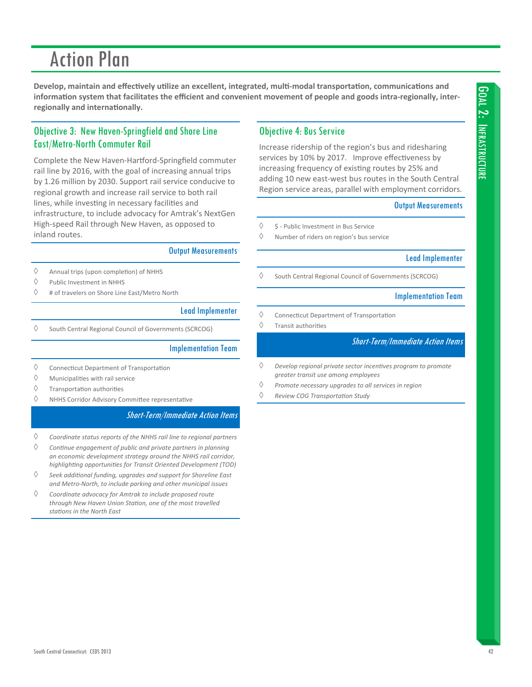#### South Central Connecticut- CEDS 2013

# **Action Plan**

Develop, maintain and effectively utilize an excellent, integrated, multi-modal transportation, communications and information system that facilitates the efficient and convenient movement of people and goods intra-regionally, interregionally and internationally.

# Objective 3: New Haven-Springfield and Shore Line **East/Metro-North Commuter Rail**

Complete the New Haven-Hartford-Springfield commuter rail line by 2016, with the goal of increasing annual trips by 1.26 million by 2030. Support rail service conducive to regional growth and increase rail service to both rail lines, while investing in necessary facilities and infrastructure, to include advocacy for Amtrak's NextGen High-speed Rail through New Haven, as opposed to inland routes.

### **Output Measurements**

- $\Diamond$ Annual trips (upon completion) of NHHS
- $\Diamond$ Public Investment in NHHS
- $\Diamond$ # of travelers on Shore Line East/Metro North

### **Lead Implementer**

 $\Diamond$ South Central Regional Council of Governments (SCRCOG)

### **Implementation Team**

- $\Diamond$ **Connecticut Department of Transportation**
- $\Diamond$ Municipalities with rail service
- ♦ Transportation authorities
- $\Diamond$ NHHS Corridor Advisory Committee representative

### **Short-Term/Immediate Action Items**

- $\Diamond$ Coordinate status reports of the NHHS rail line to regional partners
- $\Diamond$ Continue engagement of public and private partners in planning an economic development strategy around the NHHS rail corridor, highlighting opportunities for Transit Oriented Development (TOD)
- ♦ Seek additional funding, upgrades and support for Shoreline East and Metro-North, to include parking and other municipal issues
- ♦ Coordinate advocacy for Amtrak to include proposed route through New Haven Union Station, one of the most travelled stations in the North East

### **Objective 4: Bus Service**

Increase ridership of the region's bus and ridesharing services by 10% by 2017. Improve effectiveness by increasing frequency of existing routes by 25% and adding 10 new east-west bus routes in the South Central Region service areas, parallel with employment corridors.

### **Output Measurements**

- ♦ \$ - Public Investment in Bus Service
- $\Diamond$ Number of riders on region's bus service

### **Lead Implementer**

 $\Diamond$ South Central Regional Council of Governments (SCRCOG)

### **Implementation Team**

- ♦ **Connecticut Department of Transportation**
- $\Diamond$ Transit authorities

- $\Diamond$ Develop regional private sector incentives program to promote greater transit use among employees
- $\langle \rangle$ Promote necessary upgrades to all services in region
- $\Diamond$ Review COG Transportation Study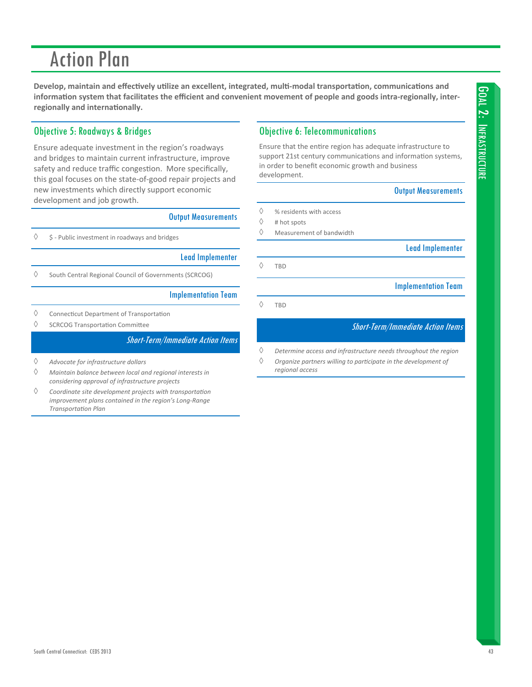Develop, maintain and effectively utilize an excellent, integrated, multi-modal transportation, communications and information system that facilitates the efficient and convenient movement of people and goods intra-regionally, inter**regionally and internationally.** 

# Objective 5: Roadways & Bridges

Ensure adequate investment in the region's roadways and bridges to maintain current infrastructure, improve safety and reduce traffic congestion. More specifically, this goal focuses on the state‐of‐good repair projects and new investments which directly support economic development and job growth.

### Output Measurements

 $\Diamond$  \$ - Public investment in roadways and bridges

|  |  | <b>Lead Implementer</b> |
|--|--|-------------------------|
|  |  |                         |

 $\Diamond$  South Central Regional Council of Governments (SCRCOG)

### Implementation Team

- $\Diamond$  Connecticut Department of Transportation
- $\diamond$  SCRCOG Transportation Committee

### Short-Term/Immediate Action Items

- *Advocate for infrastructure dollars*
- *Maintain balance between local and regional interests in considering approval of infrastructure projects*
- *Coordinate site development projects with transportaƟon improvement plans contained in the region's Long‐Range TransportaƟon Plan*

### Objective 6: Telecommunications

Ensure that the entire region has adequate infrastructure to support 21st century communications and information systems, in order to benefit economic growth and business development.

### Output Measurements

- $\diamond$  % residents with access
- $\Diamond$  # hot spots
- $\Diamond$  Measurement of bandwidth

Lead Implementer

 $\Diamond$  TBD

Implementation Team

 $\Diamond$  TBD

- *Determine access and infrastructure needs throughout the region*
- *Organize partners willing to parƟcipate in the development of regional access*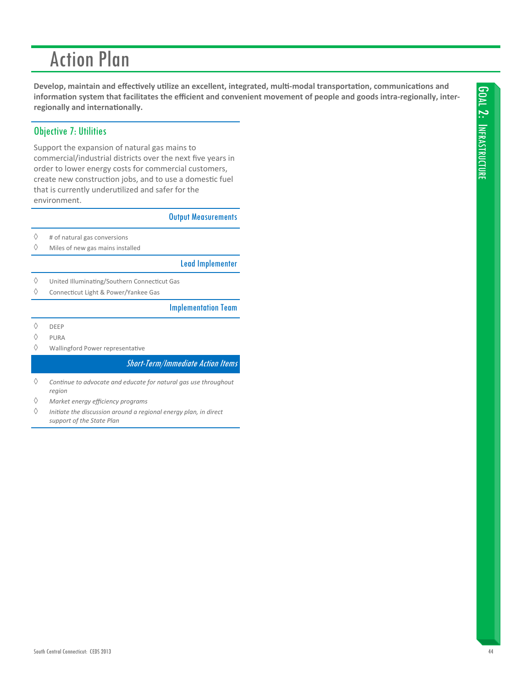Develop, maintain and effectively utilize an excellent, integrated, multi-modal transportation, communications and information system that facilitates the efficient and convenient movement of people and goods intra-regionally, interregionally and internationally.

# **Objective 7: Utilities**

Support the expansion of natural gas mains to commercial/industrial districts over the next five years in order to lower energy costs for commercial customers, create new construction jobs, and to use a domestic fuel that is currently underutilized and safer for the environment.

**Output Measurements** 

- $\Diamond$ # of natural gas conversions
- $\Diamond$ Miles of new gas mains installed

**Lead Implementer** 

- $\Diamond$ United Illuminating/Southern Connecticut Gas
- $\Diamond$ Connecticut Light & Power/Yankee Gas

### **Implementation Team**

- $\Diamond$ **DEEP**
- $\Diamond$ PURA
- $\Diamond$ Wallingford Power representative

- $\Diamond$ Continue to advocate and educate for natural gas use throughout region
- $\Diamond$ Market energy efficiency programs
- $\Diamond$ Initiate the discussion around a regional energy plan, in direct support of the State Plan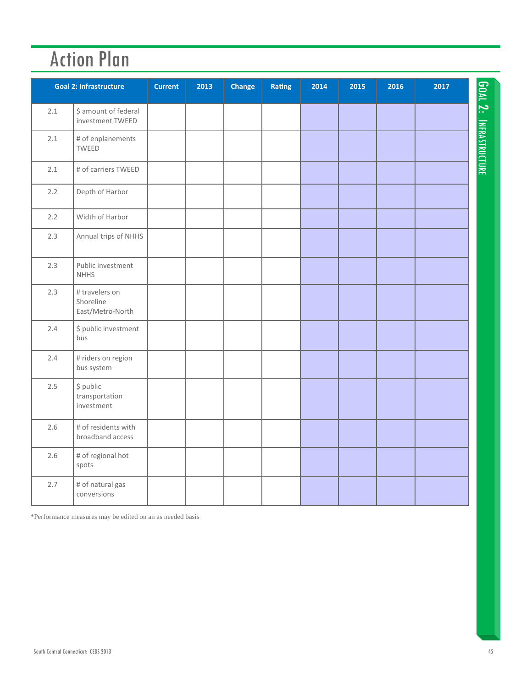|     | <b>Goal 2: Infrastructure</b>                   | <b>Current</b> | 2013 | Change | Rating | 2014 | 2015 | 2016 | 2017 |                               |
|-----|-------------------------------------------------|----------------|------|--------|--------|------|------|------|------|-------------------------------|
| 2.1 | \$ amount of federal<br>investment TWEED        |                |      |        |        |      |      |      |      |                               |
| 2.1 | # of enplanements<br><b>TWEED</b>               |                |      |        |        |      |      |      |      | <b>GOAL 2: INFRASTRUCTURE</b> |
| 2.1 | # of carriers TWEED                             |                |      |        |        |      |      |      |      |                               |
| 2.2 | Depth of Harbor                                 |                |      |        |        |      |      |      |      |                               |
| 2.2 | Width of Harbor                                 |                |      |        |        |      |      |      |      |                               |
| 2.3 | Annual trips of NHHS                            |                |      |        |        |      |      |      |      |                               |
| 2.3 | Public investment<br><b>NHHS</b>                |                |      |        |        |      |      |      |      |                               |
| 2.3 | # travelers on<br>Shoreline<br>East/Metro-North |                |      |        |        |      |      |      |      |                               |
| 2.4 | \$ public investment<br>bus                     |                |      |        |        |      |      |      |      |                               |
| 2.4 | # riders on region<br>bus system                |                |      |        |        |      |      |      |      |                               |
| 2.5 | \$ public<br>transportation<br>investment       |                |      |        |        |      |      |      |      |                               |
| 2.6 | # of residents with<br>broadband access         |                |      |        |        |      |      |      |      |                               |
| 2.6 | # of regional hot<br>spots                      |                |      |        |        |      |      |      |      |                               |
| 2.7 | # of natural gas<br>conversions                 |                |      |        |        |      |      |      |      |                               |

\*Performance measures may be edited on an as needed basis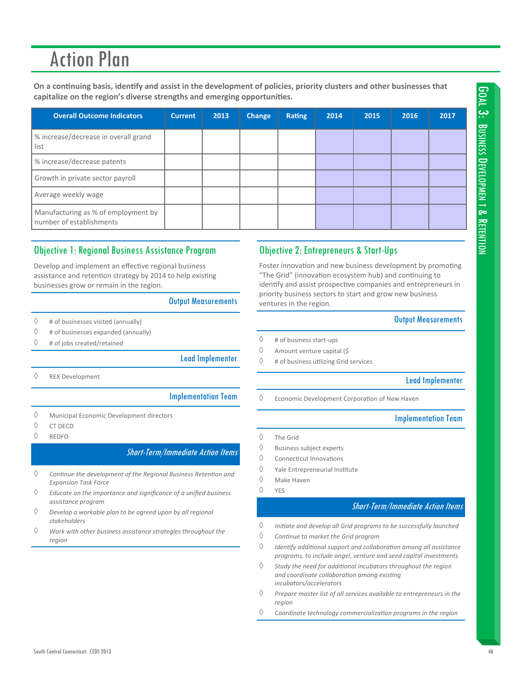On a continuing basis, identify and assist in the development of policies, priority clusters and other businesses that **capitalize on the region's diverse strengths and emerging opportuniƟes.**

| <b>Overall Outcome Indicators</b>                                 | <b>Current</b> | 2013 | Change | Rating | 2014 | 2015 | 2016 | 2017 |
|-------------------------------------------------------------------|----------------|------|--------|--------|------|------|------|------|
| % increase/decrease in overall grand<br>l list                    |                |      |        |        |      |      |      |      |
| % increase/decrease patents                                       |                |      |        |        |      |      |      |      |
| Growth in private sector payroll                                  |                |      |        |        |      |      |      |      |
| Average weekly wage                                               |                |      |        |        |      |      |      |      |
| Manufacturing as % of employment by<br>I number of establishments |                |      |        |        |      |      |      |      |

# Objective 1: Regional Business Assistance Program

Develop and implement an effective regional business assistance and retention strategy by 2014 to help existing businesses grow or remain in the region.

### Output Measurements

- $\Diamond$  # of businesses visited (annually)
- $\Diamond$  # of businesses expanded (annually)
- $\Diamond$  # of jobs created/retained

#### Lead Implementer

 $\Diamond$  REX Development

### Implementation Team

- $\Diamond$  Municipal Economic Development directors
- $\Diamond$  CT DECD
- $\Diamond$  REDFO

### Short-Term/Immediate Action Items

- *ConƟnue the development of the Regional Business RetenƟon and Expansion Task Force*
- *Educate on the importance and significance of a unified business assistance program*
- *Develop a workable plan to be agreed upon by all regional stakeholders*
- *Work with other business assistance strategies throughout the region*

### Objective 2: Entrepreneurs & Start-Ups

Foster innovation and new business development by promoting "The Grid" (innovation ecosystem hub) and continuing to identify and assist prospective companies and entrepreneurs in priority business sectors to start and grow new business ventures in the region.

### Output Measurements

- $\diamond$  # of business start-ups
- $\Diamond$  Amount venture capital (\$
- $\diamond$  # of business utilizing Grid services

### Lead Implementer

 $\Diamond$  Economic Development Corporation of New Haven

#### Implementation Team

- $\Diamond$  The Grid
- $\diamond$  Business subject experts
- $\Diamond$  Connecticut Innovations
- $\Diamond$  Yale Entrepreneurial Institute
- $\Diamond$  Make Haven
- $\Diamond$  YES

- *IniƟate and develop all Grid programs to be successfully launched*
- *ConƟnue to market the Grid program*
- *IdenƟfy addiƟonal support and collaboraƟon among all assistance programs, to include angel, venture and seed capital investments*
- *Study the need for addiƟonal incubators throughout the region and coordinate collaboraƟon among exisƟng incubators/accelerators*
- *Prepare master list of all services available to entrepreneurs in the region*
- *Coordinate technology commercializaƟon programs in the region*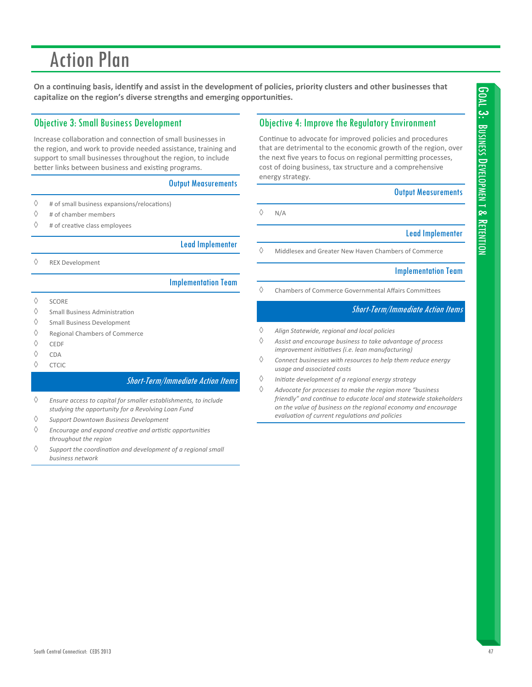On a continuing basis, identify and assist in the development of policies, priority clusters and other businesses that **capitalize on the region's diverse strengths and emerging opportuniƟes.**

# Objective 3: Small Business Development

Increase collaboration and connection of small businesses in the region, and work to provide needed assistance, training and support to small businesses throughout the region, to include better links between business and existing programs.

### Output Measurements

- $\Diamond$  # of small business expansions/relocations)
- $\diamond$  # of chamber members
- $\Diamond$  # of creative class employees

### Lead Implementer

REX Development

### Implementation Team

- $\Diamond$  SCORE
- $\diamond$  Small Business Administration
- $\Diamond$  Small Business Development
- Regional Chambers of Commerce
- $\Diamond$  CEDE
- $\Diamond$  CDA
- $\Diamond$  CTCIC

### Short-Term/Immediate Action Items

 *Ensure access to capital for smaller establishments, to include studying the opportunity for a Revolving Loan Fund*

- *Support Downtown Business Development*
- *Encourage and expand creaƟve and arƟsƟc opportuniƟes throughout the region*
- *Support the coordinaƟon and development of a regional small business network*

## Objective 4: Improve the Regulatory Environment

Continue to advocate for improved policies and procedures that are detrimental to the economic growth of the region, over the next five years to focus on regional permitting processes, cost of doing business, tax structure and a comprehensive energy strategy.

### Output Measurements

 $\Diamond$  N/A

### Lead Implementer

 $\Diamond$  Middlesex and Greater New Haven Chambers of Commerce

### Implementation Team

 $\Diamond$  Chambers of Commerce Governmental Affairs Committees

- *Align Statewide, regional and local policies*
- *Assist and encourage business to take advantage of process improvement iniƟaƟves (i.e. lean manufacturing)*
- *Connect businesses with resources to help them reduce energy usage and associated costs*
- *IniƟate development of a regional energy strategy*
- *Advocate for processes to make the region more "business friendly" and conƟnue to educate local and statewide stakeholders on the value of business on the regional economy and encourage evaluaƟon of current regulaƟons and policies*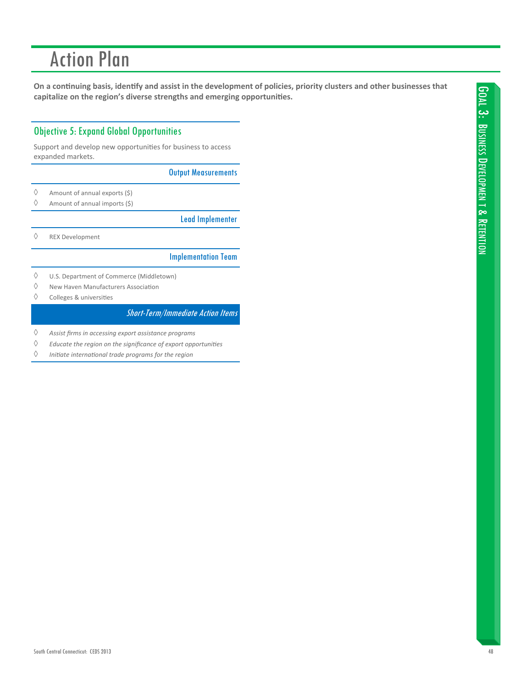On a continuing basis, identify and assist in the development of policies, priority clusters and other businesses that capitalize on the region's diverse strengths and emerging opportunities.

# **Objective 5: Expand Global Opportunities**

Support and develop new opportunities for business to access expanded markets.

**Output Measurements** 

- $\Diamond$ Amount of annual exports (\$)
- $\Diamond$ Amount of annual imports (\$)

**Lead Implementer** 

 $\Diamond$ **REX Development** 

### **Implementation Team**

- $\Diamond$ U.S. Department of Commerce (Middletown)
- $\Diamond$ New Haven Manufacturers Association
- $\Diamond$ Colleges & universities

- ♦ Assist firms in accessing export assistance programs
- $\Diamond$ Educate the region on the significance of export opportunities
- $\Diamond$ Initiate international trade programs for the region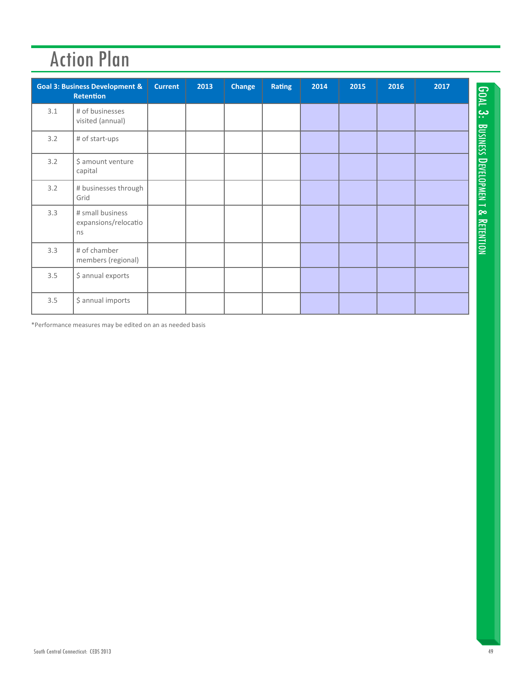|     | <b>Goal 3: Business Development &amp;</b><br><b>Retention</b> | <b>Current</b> | 2013 | <b>Change</b> | <b>Rating</b> | 2014 | 2015 | 2016 | 2017 |
|-----|---------------------------------------------------------------|----------------|------|---------------|---------------|------|------|------|------|
| 3.1 | # of businesses<br>visited (annual)                           |                |      |               |               |      |      |      |      |
| 3.2 | # of start-ups                                                |                |      |               |               |      |      |      |      |
| 3.2 | \$ amount venture<br>capital                                  |                |      |               |               |      |      |      |      |
| 3.2 | # businesses through<br>Grid                                  |                |      |               |               |      |      |      |      |
| 3.3 | # small business<br>expansions/relocatio<br>ns                |                |      |               |               |      |      |      |      |
| 3.3 | # of chamber<br>members (regional)                            |                |      |               |               |      |      |      |      |
| 3.5 | \$ annual exports                                             |                |      |               |               |      |      |      |      |
| 3.5 | \$ annual imports                                             |                |      |               |               |      |      |      |      |

\*Performance measures may be edited on an as needed basis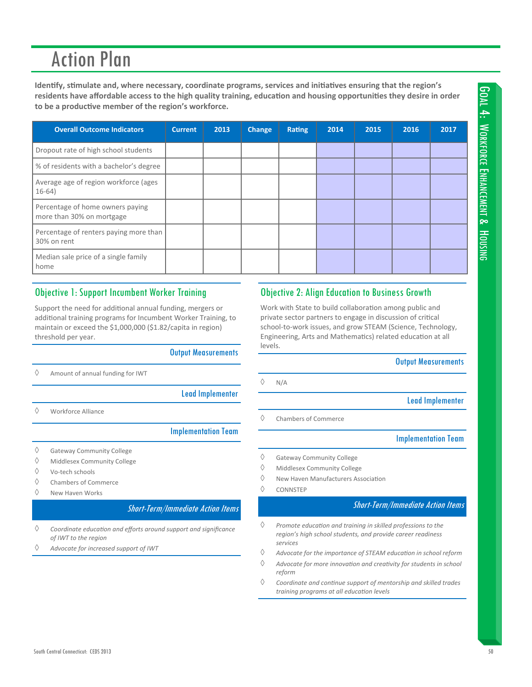Identify, stimulate and, where necessary, coordinate programs, services and initiatives ensuring that the region's residents have affordable access to the high quality training, education and housing opportunities they desire in order to be a productive member of the region's workforce.

| <b>Overall Outcome Indicators</b>                             | <b>Current</b> | 2013 | Change | Rating | 2014 | 2015 | 2016 | 2017 |
|---------------------------------------------------------------|----------------|------|--------|--------|------|------|------|------|
| Dropout rate of high school students                          |                |      |        |        |      |      |      |      |
| % of residents with a bachelor's degree                       |                |      |        |        |      |      |      |      |
| Average age of region workforce (ages<br>$16-64)$             |                |      |        |        |      |      |      |      |
| Percentage of home owners paying<br>more than 30% on mortgage |                |      |        |        |      |      |      |      |
| Percentage of renters paying more than<br>30% on rent         |                |      |        |        |      |      |      |      |
| Median sale price of a single family<br>home                  |                |      |        |        |      |      |      |      |

### **Objective 1: Support Incumbent Worker Training**

Support the need for additional annual funding, mergers or additional training programs for Incumbent Worker Training, to maintain or exceed the \$1,000,000 (\$1.82/capita in region) threshold per year.

### **Output Measurements**

- ♦ Amount of annual funding for IWT
- **Lead Implementer**

 $\Diamond$ Workforce Alliance

### **Implementation Team**

- $\Diamond$ **Gateway Community College**
- ♦ Middlesex Community College
- $\Diamond$ Vo-tech schools
- $\Diamond$ Chambers of Commerce
- $\Diamond$ New Haven Works

### **Short-Term/Immediate Action Items**

- $\Diamond$ Coordinate education and efforts around support and significance of IWT to the region
- Advocate for increased support of IWT

### **Objective 2: Align Education to Business Growth**

Work with State to build collaboration among public and private sector partners to engage in discussion of critical school-to-work issues, and grow STEAM (Science, Technology, Engineering, Arts and Mathematics) related education at all levels.

### **Output Measurements**

**Lead Implementer** 

Chambers of Commerce

### **Implementation Team**

- $\Diamond$ **Gateway Community College**
- $\Diamond$ Middlesex Community College
- ♦ New Haven Manufacturers Association
- $\Diamond$ CONNSTEP

### **Short-Term/Immediate Action Items**

- $\Diamond$ Promote education and training in skilled professions to the region's high school students, and provide career readiness services
- $\Diamond$ Advocate for the importance of STEAM education in school reform
- ♦ Advocate for more innovation and creativity for students in school reform
- ♦ Coordinate and continue support of mentorship and skilled trades training programs at all education levels

### $\Diamond$  $N/A$

 $\Diamond$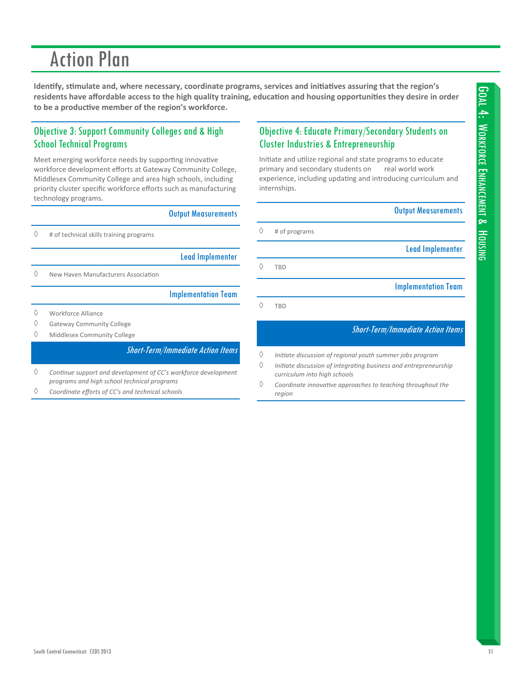Identify, stimulate and, where necessary, coordinate programs, services and initiatives assuring that the region's residents have affordable access to the high quality training, education and housing opportunities they desire in order to be a productive member of the region's workforce.

# **Objective 3: Support Community Colleges and & High School Technical Programs**

Meet emerging workforce needs by supporting innovative workforce development efforts at Gateway Community College, Middlesex Community College and area high schools, including priority cluster specific workforce efforts such as manufacturing technology programs.

|                                                                                       | <b>Output Measurements</b>               |
|---------------------------------------------------------------------------------------|------------------------------------------|
| # of technical skills training programs                                               |                                          |
|                                                                                       | <b>Lead Implementer</b>                  |
| New Haven Manufacturers Association                                                   |                                          |
|                                                                                       | <b>Implementation Team</b>               |
| Workforce Alliance<br><b>Gateway Community College</b><br>Middlesex Community College |                                          |
|                                                                                       | <b>Short-Term/Immediate Action Items</b> |

♦ Continue support and development of CC's workforce development programs and high school technical programs

♦ Coordinate efforts of CC's and technical schools

# Objective 4: Educate Primary/Secondary Students on **Cluster Industries & Entrepreneurship**

Initiate and utilize regional and state programs to educate primary and secondary students on real world work experience, including updating and introducing curriculum and internships.

**Output Measurements** 

**Lead Implementer** 

 $\Diamond$ # of programs

**TBD** 

 $\Diamond$ TRD

 $\Diamond$ 

**Implementation Team** 

- $\Diamond$ Initiate discussion of regional youth summer jobs program
- ♦ Initiate discussion of integrating business and entrepreneurship curriculum into high schools
- ♦ Coordinate innovative approaches to teaching throughout the region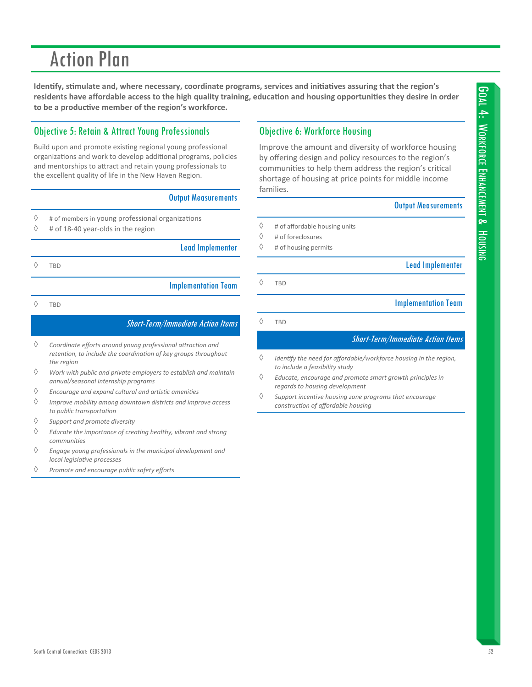Identify, stimulate and, where necessary, coordinate programs, services and initiatives assuring that the region's residents have affordable access to the high quality training, education and housing opportunities they desire in order to be a productive member of the region's workforce.

# **Objective 5: Retain & Attract Young Professionals**

Build upon and promote existing regional young professional organizations and work to develop additional programs, policies and mentorships to attract and retain young professionals to the excellent quality of life in the New Haven Region.

### **Output Measurements**

- $\Diamond$ # of members in young professional organizations
- # of 18-40 year-olds in the region  $\Diamond$

**Lead Implementer** 

 $\Diamond$ **TBD** 

**Implementation Team** 

♦ **TBD** 

### **Short-Term/Immediate Action Items**

- $\Diamond$ Coordinate efforts around young professional attraction and retention, to include the coordination of key groups throughout the reaion
- $\Diamond$ Work with public and private employers to establish and maintain annual/seasonal internship programs
- ♦ Encourage and expand cultural and artistic amenities
- ♦ Improve mobility among downtown districts and improve access to public transportation
- $\Diamond$ Support and promote diversity
- ♦ Educate the importance of creating healthy, vibrant and strong communities
- ♦ Engage young professionals in the municipal development and local legislative processes
- $\Diamond$ Promote and encourage public safety efforts

# **Objective 6: Workforce Housing**

Improve the amount and diversity of workforce housing by offering design and policy resources to the region's communities to help them address the region's critical shortage of housing at price points for middle income families.

### **Output Measurements**

- $\Diamond$ # of affordable housing units
- $\Diamond$ # of foreclosures
- ♦ # of housing permits

**Lead Implementer** 

 $\Diamond$ **TBD** 

**Implementation Team** 

 $\Diamond$ TBD

- $\Diamond$ Identify the need for affordable/workforce housing in the region, to include a feasibility study
- $\Diamond$ Educate, encourage and promote smart growth principles in regards to housing development
- $\Diamond$ Support incentive housing zone programs that encourage construction of affordable housing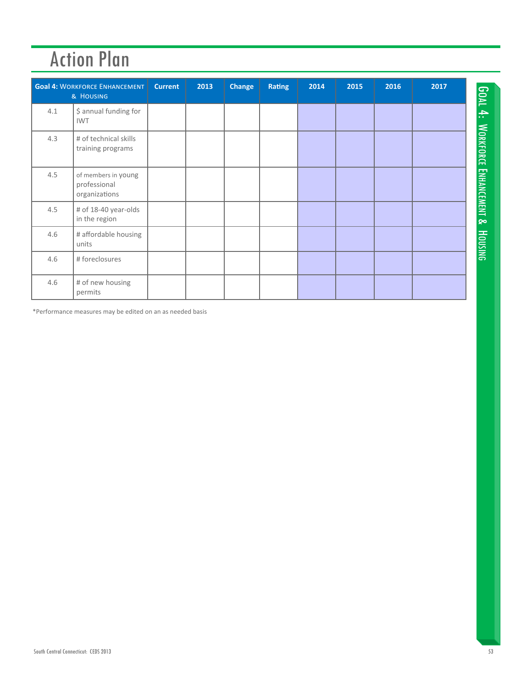|     | <b>Goal 4: WORKFORCE ENHANCEMENT</b><br>& HOUSING    | <b>Current</b> | 2013 | Change | <b>Rating</b> | 2014 | 2015 | 2016 | 2017 |  |
|-----|------------------------------------------------------|----------------|------|--------|---------------|------|------|------|------|--|
| 4.1 | \$ annual funding for<br><b>IWT</b>                  |                |      |        |               |      |      |      |      |  |
| 4.3 | # of technical skills<br>training programs           |                |      |        |               |      |      |      |      |  |
| 4.5 | of members in young<br>professional<br>organizations |                |      |        |               |      |      |      |      |  |
| 4.5 | # of 18-40 year-olds<br>in the region                |                |      |        |               |      |      |      |      |  |
| 4.6 | # affordable housing<br>units                        |                |      |        |               |      |      |      |      |  |
| 4.6 | # foreclosures                                       |                |      |        |               |      |      |      |      |  |
| 4.6 | # of new housing<br>permits                          |                |      |        |               |      |      |      |      |  |

\*Performance measures may be edited on an as needed basis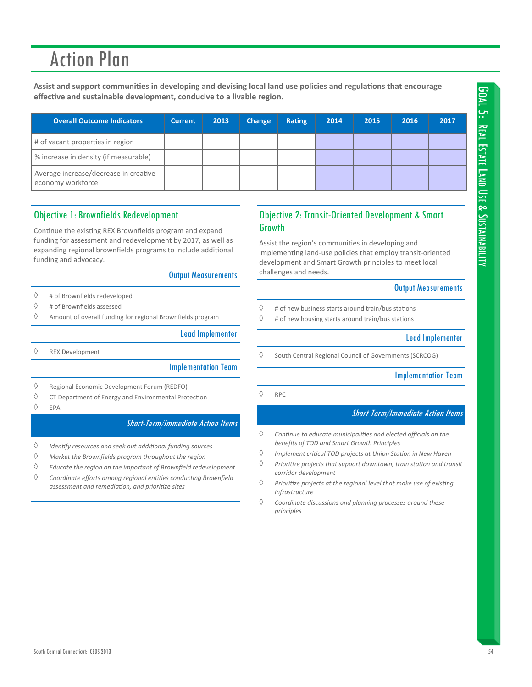Assist and support communities in developing and devising local land use policies and regulations that encourage effective and sustainable development, conducive to a livable region.

| <b>Overall Outcome Indicators</b>                          | <b>Current</b> | 2013 | <b>Change</b> | <b>Rating</b> | 2014 | 2015 | 2016 | 2017 |
|------------------------------------------------------------|----------------|------|---------------|---------------|------|------|------|------|
| # of vacant properties in region                           |                |      |               |               |      |      |      |      |
| % increase in density (if measurable)                      |                |      |               |               |      |      |      |      |
| Average increase/decrease in creative<br>economy workforce |                |      |               |               |      |      |      |      |

# **Objective 1: Brownfields Redevelopment**

Continue the existing REX Brownfields program and expand funding for assessment and redevelopment by 2017, as well as expanding regional brownfields programs to include additional funding and advocacy.

### **Output Measurements**

- $\Diamond$ # of Brownfields redeveloped
- $\Diamond$ # of Brownfields assessed
- Amount of overall funding for regional Brownfields program ♦

### **Lead Implementer**

 $\Diamond$ **REX Development** 

### **Implementation Team**

- $\Diamond$ Regional Economic Development Forum (REDFO)
- ♦ CT Department of Energy and Environmental Protection
- $\Diamond$ EPA

### **Short-Term/Immediate Action Items**

- $\Diamond$ Identify resources and seek out additional funding sources
- ♦ Market the Brownfields program throughout the region
- ♦ Educate the region on the important of Brownfield redevelopment
- $\Diamond$ Coordinate efforts among regional entities conducting Brownfield assessment and remediation, and prioritize sites

# **Objective 2: Transit-Oriented Development & Smart** Growth

Assist the region's communities in developing and implementing land-use policies that employ transit-oriented development and Smart Growth principles to meet local challenges and needs.

### **Output Measurements**

- $\Diamond$ # of new business starts around train/bus stations
- ♦ # of new housing starts around train/bus stations

### **Lead Implementer**

 $\Diamond$ South Central Regional Council of Governments (SCRCOG)

### **Implementation Team**

**RPC** 

### **Short-Term/Immediate Action Items**

- $\Diamond$ Continue to educate municipalities and elected officials on the benefits of TOD and Smart Growth Principles
- ♦ Implement critical TOD projects at Union Station in New Haven
- ♦ Prioritize projects that support downtown, train station and transit corridor development
- $\Diamond$ Prioritize projects at the regional level that make use of existing infrastructure
- ♦ Coordinate discussions and planning processes around these principles

### $\Diamond$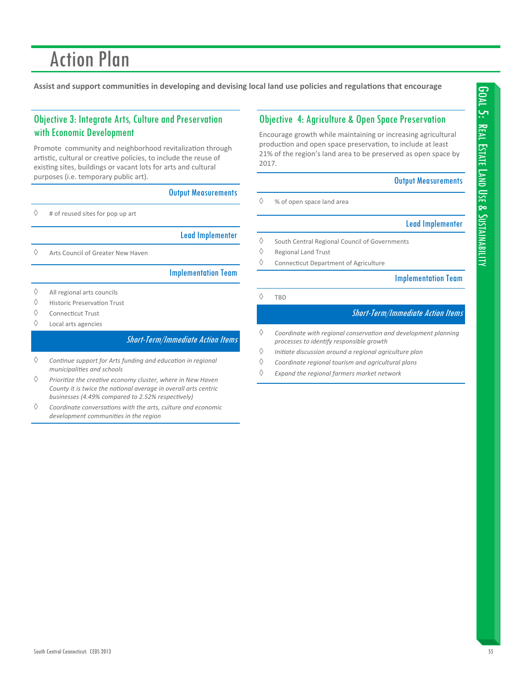Assist and support communities in developing and devising local land use policies and regulations that encourage

# Objective 3: Integrate Arts, Culture and Preservation with Economic Development

Promote community and neighborhood revitalization through artistic, cultural or creative policies, to include the reuse of existing sites, buildings or vacant lots for arts and cultural purposes (i.e. temporary public art).

### Output Measurements

 $\diamond$  # of reused sites for pop up art

Lead Implementer

 $\Diamond$  Arts Council of Greater New Haven

### Implementation Team

- $\Diamond$  All regional arts councils
- $\Diamond$  Historic Preservation Trust
- $\Diamond$  Connecticut Trust
- Local arts agencies

### Short-Term/Immediate Action Items

- *ConƟnue support for Arts funding and educaƟon in regional municipaliƟes and schools*
- *PrioriƟze the creaƟve economy cluster, where in New Haven County it is twice the naƟonal average in overall arts centric businesses (4.49% compared to 2.52% respecƟvely)*
- *Coordinate conversaƟons with the arts, culture and economic development communiƟes in the region*

## Objective 4: Agriculture & Open Space Preservation

Encourage growth while maintaining or increasing agricultural production and open space preservation, to include at least 21% of the region's land area to be preserved as open space by 2017.

### Output Measurements

 $\Diamond$  % of open space land area

### Lead Implementer

- $\Diamond$  South Central Regional Council of Governments
- $\Diamond$  Regional Land Trust
- $\Diamond$  Connecticut Department of Agriculture

### Implementation Team

 $\Diamond$  TBD

- *Coordinate with regional conservaƟon and development planning processes to idenƟfy responsible growth*
- *IniƟate discussion around a regional agriculture plan*
- *Coordinate regional tourism and agricultural plans*
- *Expand the regional farmers market network*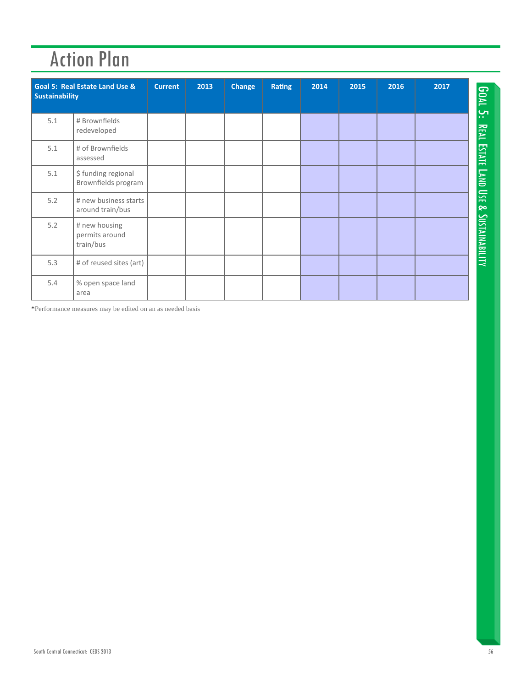| <b>Sustainability</b> | <b>Goal 5: Real Estate Land Use &amp;</b>    | <b>Current</b> | 2013 | <b>Change</b> | <b>Rating</b> | 2014 | 2015 | 2016 | 2017 | <b>GOAL</b>           |
|-----------------------|----------------------------------------------|----------------|------|---------------|---------------|------|------|------|------|-----------------------|
| 5.1                   | # Brownfields<br>redeveloped                 |                |      |               |               |      |      |      |      | بب<br>REAL            |
| 5.1                   | # of Brownfields<br>assessed                 |                |      |               |               |      |      |      |      | <b>ESTATE</b>         |
| 5.1                   | \$ funding regional<br>Brownfields program   |                |      |               |               |      |      |      |      | $L_{\text{MNI}}$      |
| 5.2                   | # new business starts<br>around train/bus    |                |      |               |               |      |      |      |      | 區<br>ଚ୍ଚ              |
| 5.2                   | # new housing<br>permits around<br>train/bus |                |      |               |               |      |      |      |      | <b>SUSTAINABILITY</b> |
| 5.3                   | # of reused sites (art)                      |                |      |               |               |      |      |      |      |                       |
| 5.4                   | % open space land<br>area                    |                |      |               |               |      |      |      |      |                       |

\*Performance measures may be edited on an as needed basis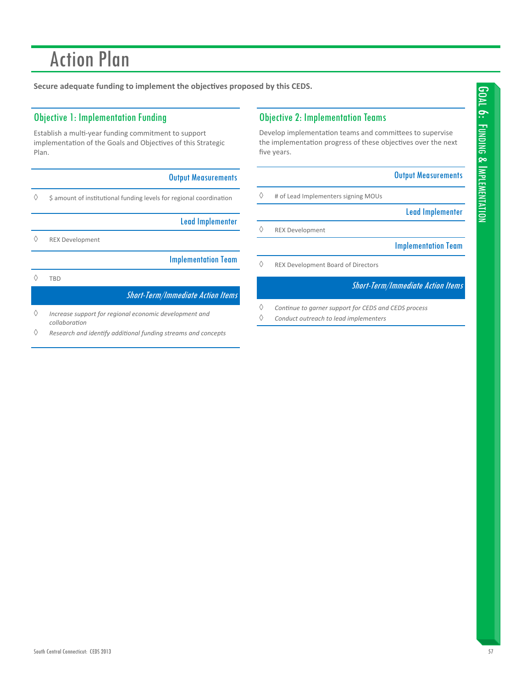**Secure adequate funding to implement the objecƟves proposed by this CEDS.**

## Objective 1: Implementation Funding

Establish a multi-year funding commitment to support implementation of the Goals and Objectives of this Strategic Plan.

### Output Measurements

 $\diamond$  \$ amount of institutional funding levels for regional coordination

Lead Implementer

REX Development

Implementation Team

# $\Diamond$  TBD

### Short-Term/Immediate Action Items

- *Increase support for regional economic development and collaboraƟon*
- *Research and idenƟfy addiƟonal funding streams and concepts*

## Objective 2: Implementation Teams

Develop implementation teams and committees to supervise the implementation progress of these objectives over the next five years.

### Output Measurements

 $\diamond$  # of Lead Implementers signing MOUs

Lead Implementer

REX Development

Implementation Team

 $\Diamond$  REX Development Board of Directors

- *ConƟnue to garner support for CEDS and CEDS process*
- *Conduct outreach to lead implementers*